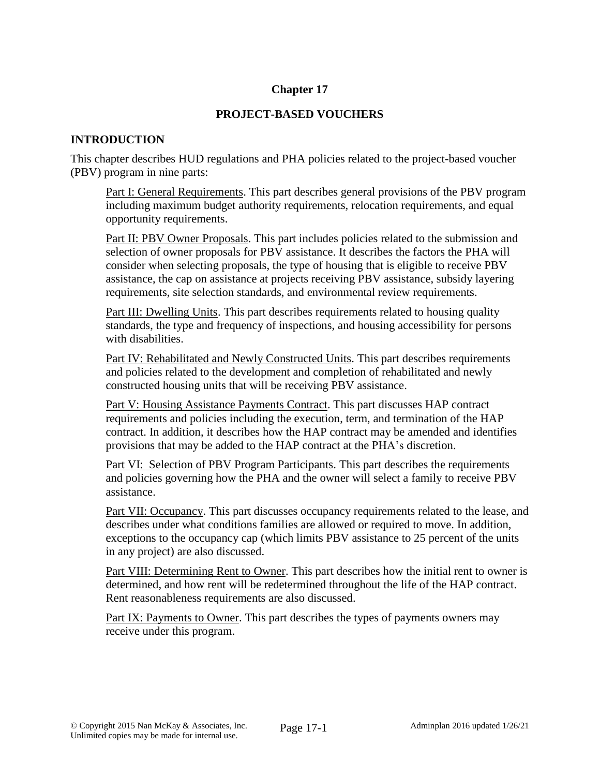## **Chapter 17**

## **PROJECT-BASED VOUCHERS**

## **INTRODUCTION**

This chapter describes HUD regulations and PHA policies related to the project-based voucher (PBV) program in nine parts:

Part I: General Requirements. This part describes general provisions of the PBV program including maximum budget authority requirements, relocation requirements, and equal opportunity requirements.

Part II: PBV Owner Proposals. This part includes policies related to the submission and selection of owner proposals for PBV assistance. It describes the factors the PHA will consider when selecting proposals, the type of housing that is eligible to receive PBV assistance, the cap on assistance at projects receiving PBV assistance, subsidy layering requirements, site selection standards, and environmental review requirements.

Part III: Dwelling Units. This part describes requirements related to housing quality standards, the type and frequency of inspections, and housing accessibility for persons with disabilities.

Part IV: Rehabilitated and Newly Constructed Units. This part describes requirements and policies related to the development and completion of rehabilitated and newly constructed housing units that will be receiving PBV assistance.

Part V: Housing Assistance Payments Contract. This part discusses HAP contract requirements and policies including the execution, term, and termination of the HAP contract. In addition, it describes how the HAP contract may be amended and identifies provisions that may be added to the HAP contract at the PHA's discretion.

Part VI: Selection of PBV Program Participants. This part describes the requirements and policies governing how the PHA and the owner will select a family to receive PBV assistance.

Part VII: Occupancy. This part discusses occupancy requirements related to the lease, and describes under what conditions families are allowed or required to move. In addition, exceptions to the occupancy cap (which limits PBV assistance to 25 percent of the units in any project) are also discussed.

Part VIII: Determining Rent to Owner. This part describes how the initial rent to owner is determined, and how rent will be redetermined throughout the life of the HAP contract. Rent reasonableness requirements are also discussed.

Part IX: Payments to Owner. This part describes the types of payments owners may receive under this program.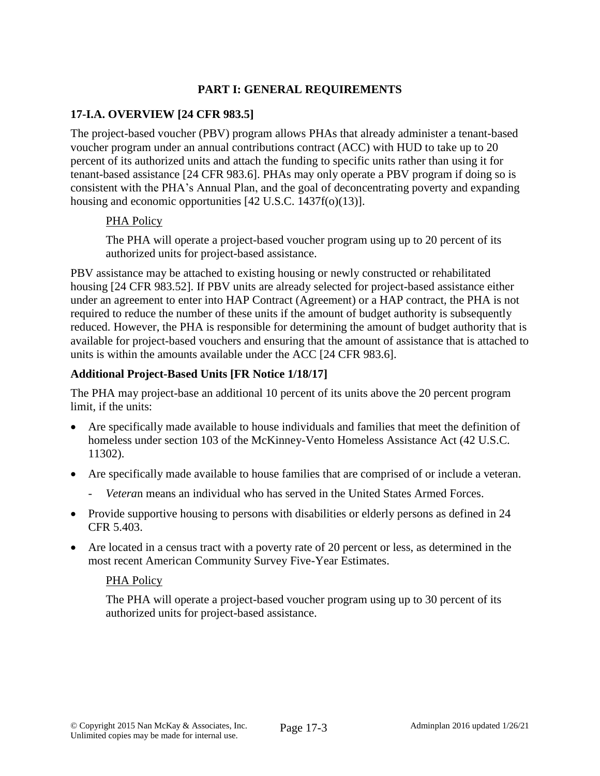# **PART I: GENERAL REQUIREMENTS**

## **17-I.A. OVERVIEW [24 CFR 983.5]**

The project-based voucher (PBV) program allows PHAs that already administer a tenant-based voucher program under an annual contributions contract (ACC) with HUD to take up to 20 percent of its authorized units and attach the funding to specific units rather than using it for tenant-based assistance [24 CFR 983.6]. PHAs may only operate a PBV program if doing so is consistent with the PHA's Annual Plan, and the goal of deconcentrating poverty and expanding housing and economic opportunities [42 U.S.C. 1437f(o)(13)].

#### PHA Policy

The PHA will operate a project-based voucher program using up to 20 percent of its authorized units for project-based assistance.

PBV assistance may be attached to existing housing or newly constructed or rehabilitated housing [24 CFR 983.52]. If PBV units are already selected for project-based assistance either under an agreement to enter into HAP Contract (Agreement) or a HAP contract, the PHA is not required to reduce the number of these units if the amount of budget authority is subsequently reduced. However, the PHA is responsible for determining the amount of budget authority that is available for project-based vouchers and ensuring that the amount of assistance that is attached to units is within the amounts available under the ACC [24 CFR 983.6].

#### **Additional Project-Based Units [FR Notice 1/18/17]**

The PHA may project-base an additional 10 percent of its units above the 20 percent program limit, if the units:

- Are specifically made available to house individuals and families that meet the definition of homeless under section 103 of the McKinney-Vento Homeless Assistance Act (42 U.S.C. 11302).
- Are specifically made available to house families that are comprised of or include a veteran.
	- *Vetera*n means an individual who has served in the United States Armed Forces.
- Provide supportive housing to persons with disabilities or elderly persons as defined in 24 CFR 5.403.
- Are located in a census tract with a poverty rate of 20 percent or less, as determined in the most recent American Community Survey Five-Year Estimates.

#### PHA Policy

The PHA will operate a project-based voucher program using up to 30 percent of its authorized units for project-based assistance.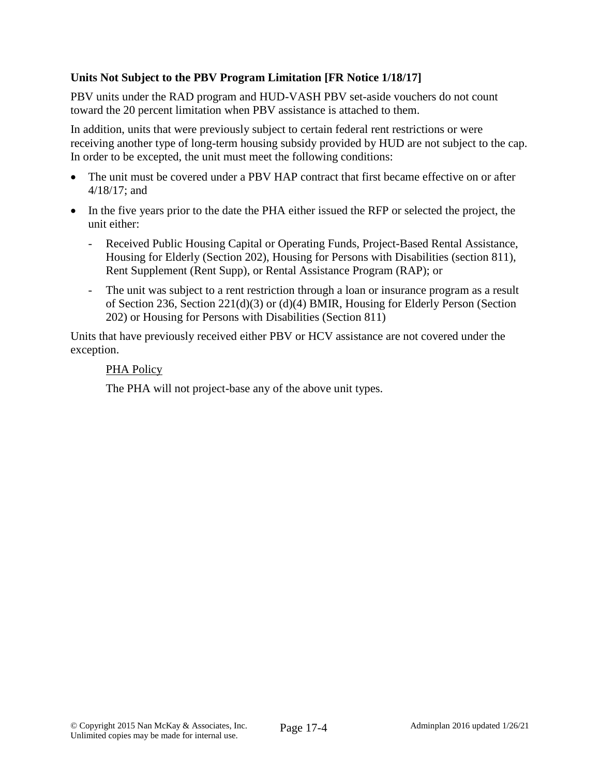# **Units Not Subject to the PBV Program Limitation [FR Notice 1/18/17]**

PBV units under the RAD program and HUD-VASH PBV set-aside vouchers do not count toward the 20 percent limitation when PBV assistance is attached to them.

In addition, units that were previously subject to certain federal rent restrictions or were receiving another type of long-term housing subsidy provided by HUD are not subject to the cap. In order to be excepted, the unit must meet the following conditions:

- The unit must be covered under a PBV HAP contract that first became effective on or after 4/18/17; and
- In the five years prior to the date the PHA either issued the RFP or selected the project, the unit either:
	- Received Public Housing Capital or Operating Funds, Project-Based Rental Assistance, Housing for Elderly (Section 202), Housing for Persons with Disabilities (section 811), Rent Supplement (Rent Supp), or Rental Assistance Program (RAP); or
	- The unit was subject to a rent restriction through a loan or insurance program as a result of Section 236, Section 221(d)(3) or (d)(4) BMIR, Housing for Elderly Person (Section 202) or Housing for Persons with Disabilities (Section 811)

Units that have previously received either PBV or HCV assistance are not covered under the exception.

#### PHA Policy

The PHA will not project-base any of the above unit types.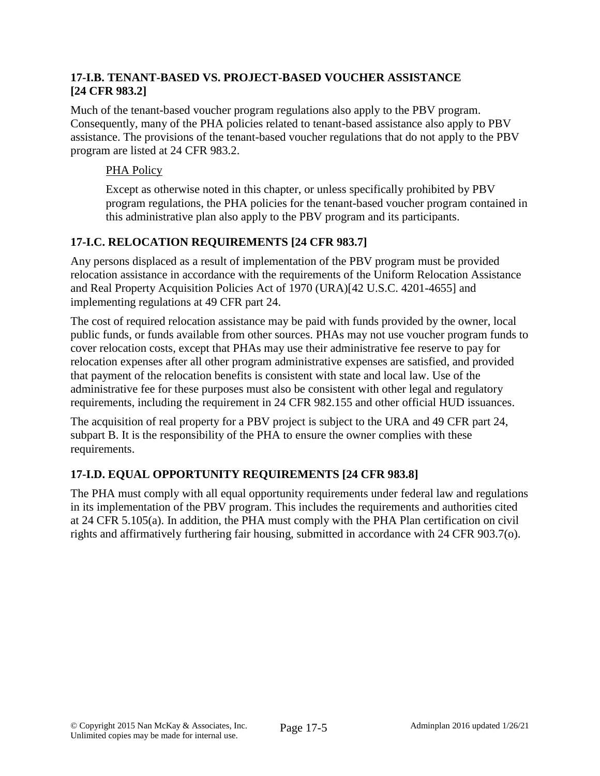## **17-I.B. TENANT-BASED VS. PROJECT-BASED VOUCHER ASSISTANCE [24 CFR 983.2]**

Much of the tenant-based voucher program regulations also apply to the PBV program. Consequently, many of the PHA policies related to tenant-based assistance also apply to PBV assistance. The provisions of the tenant-based voucher regulations that do not apply to the PBV program are listed at 24 CFR 983.2.

# PHA Policy

Except as otherwise noted in this chapter, or unless specifically prohibited by PBV program regulations, the PHA policies for the tenant-based voucher program contained in this administrative plan also apply to the PBV program and its participants.

# **17-I.C. RELOCATION REQUIREMENTS [24 CFR 983.7]**

Any persons displaced as a result of implementation of the PBV program must be provided relocation assistance in accordance with the requirements of the Uniform Relocation Assistance and Real Property Acquisition Policies Act of 1970 (URA)[42 U.S.C. 4201-4655] and implementing regulations at 49 CFR part 24.

The cost of required relocation assistance may be paid with funds provided by the owner, local public funds, or funds available from other sources. PHAs may not use voucher program funds to cover relocation costs, except that PHAs may use their administrative fee reserve to pay for relocation expenses after all other program administrative expenses are satisfied, and provided that payment of the relocation benefits is consistent with state and local law. Use of the administrative fee for these purposes must also be consistent with other legal and regulatory requirements, including the requirement in 24 CFR 982.155 and other official HUD issuances.

The acquisition of real property for a PBV project is subject to the URA and 49 CFR part 24, subpart B. It is the responsibility of the PHA to ensure the owner complies with these requirements.

# **17-I.D. EQUAL OPPORTUNITY REQUIREMENTS [24 CFR 983.8]**

The PHA must comply with all equal opportunity requirements under federal law and regulations in its implementation of the PBV program. This includes the requirements and authorities cited at 24 CFR 5.105(a). In addition, the PHA must comply with the PHA Plan certification on civil rights and affirmatively furthering fair housing, submitted in accordance with 24 CFR 903.7(o).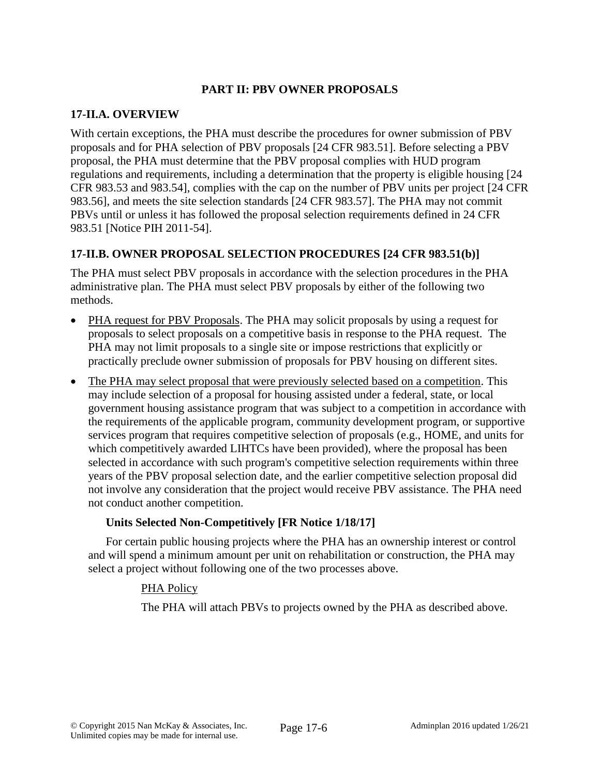## **PART II: PBV OWNER PROPOSALS**

## **17-II.A. OVERVIEW**

With certain exceptions, the PHA must describe the procedures for owner submission of PBV proposals and for PHA selection of PBV proposals [24 CFR 983.51]. Before selecting a PBV proposal, the PHA must determine that the PBV proposal complies with HUD program regulations and requirements, including a determination that the property is eligible housing [24 CFR 983.53 and 983.54], complies with the cap on the number of PBV units per project [24 CFR 983.56], and meets the site selection standards [24 CFR 983.57]. The PHA may not commit PBVs until or unless it has followed the proposal selection requirements defined in 24 CFR 983.51 [Notice PIH 2011-54].

# **17-II.B. OWNER PROPOSAL SELECTION PROCEDURES [24 CFR 983.51(b)]**

The PHA must select PBV proposals in accordance with the selection procedures in the PHA administrative plan. The PHA must select PBV proposals by either of the following two methods.

- PHA request for PBV Proposals. The PHA may solicit proposals by using a request for proposals to select proposals on a competitive basis in response to the PHA request. The PHA may not limit proposals to a single site or impose restrictions that explicitly or practically preclude owner submission of proposals for PBV housing on different sites.
- The PHA may select proposal that were previously selected based on a competition. This may include selection of a proposal for housing assisted under a federal, state, or local government housing assistance program that was subject to a competition in accordance with the requirements of the applicable program, community development program, or supportive services program that requires competitive selection of proposals (e.g., HOME, and units for which competitively awarded LIHTCs have been provided), where the proposal has been selected in accordance with such program's competitive selection requirements within three years of the PBV proposal selection date, and the earlier competitive selection proposal did not involve any consideration that the project would receive PBV assistance. The PHA need not conduct another competition.

## **Units Selected Non-Competitively [FR Notice 1/18/17]**

For certain public housing projects where the PHA has an ownership interest or control and will spend a minimum amount per unit on rehabilitation or construction, the PHA may select a project without following one of the two processes above.

## PHA Policy

The PHA will attach PBVs to projects owned by the PHA as described above.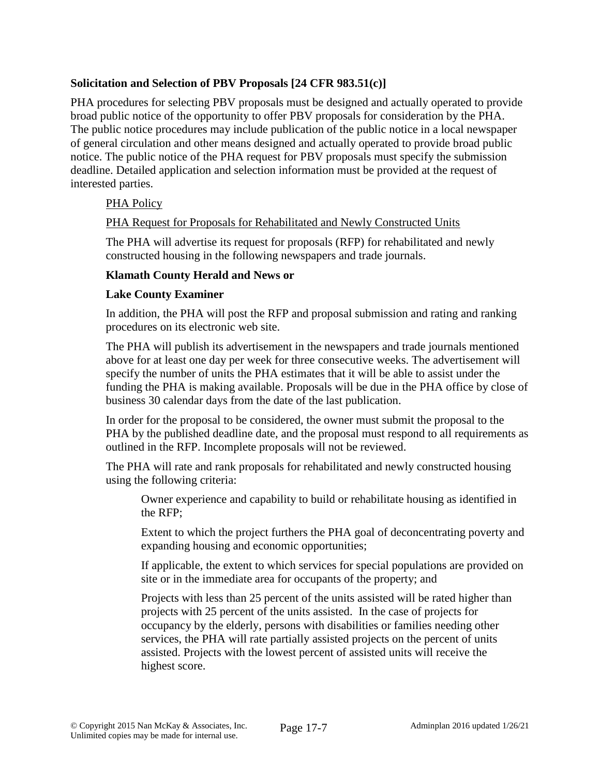## **Solicitation and Selection of PBV Proposals [24 CFR 983.51(c)]**

PHA procedures for selecting PBV proposals must be designed and actually operated to provide broad public notice of the opportunity to offer PBV proposals for consideration by the PHA. The public notice procedures may include publication of the public notice in a local newspaper of general circulation and other means designed and actually operated to provide broad public notice. The public notice of the PHA request for PBV proposals must specify the submission deadline. Detailed application and selection information must be provided at the request of interested parties.

# PHA Policy

## PHA Request for Proposals for Rehabilitated and Newly Constructed Units

The PHA will advertise its request for proposals (RFP) for rehabilitated and newly constructed housing in the following newspapers and trade journals.

## **Klamath County Herald and News or**

#### **Lake County Examiner**

In addition, the PHA will post the RFP and proposal submission and rating and ranking procedures on its electronic web site.

The PHA will publish its advertisement in the newspapers and trade journals mentioned above for at least one day per week for three consecutive weeks. The advertisement will specify the number of units the PHA estimates that it will be able to assist under the funding the PHA is making available. Proposals will be due in the PHA office by close of business 30 calendar days from the date of the last publication.

In order for the proposal to be considered, the owner must submit the proposal to the PHA by the published deadline date, and the proposal must respond to all requirements as outlined in the RFP. Incomplete proposals will not be reviewed.

The PHA will rate and rank proposals for rehabilitated and newly constructed housing using the following criteria:

Owner experience and capability to build or rehabilitate housing as identified in the RFP;

Extent to which the project furthers the PHA goal of deconcentrating poverty and expanding housing and economic opportunities;

If applicable, the extent to which services for special populations are provided on site or in the immediate area for occupants of the property; and

Projects with less than 25 percent of the units assisted will be rated higher than projects with 25 percent of the units assisted. In the case of projects for occupancy by the elderly, persons with disabilities or families needing other services, the PHA will rate partially assisted projects on the percent of units assisted. Projects with the lowest percent of assisted units will receive the highest score.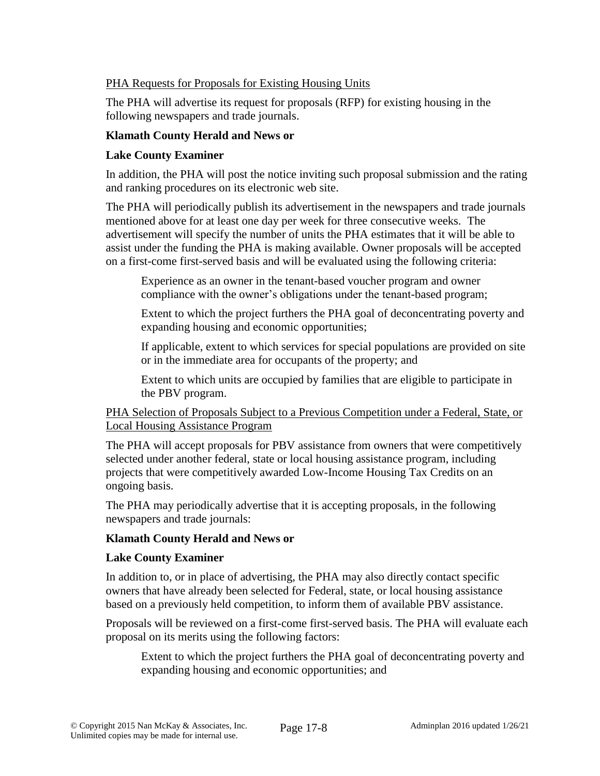## PHA Requests for Proposals for Existing Housing Units

The PHA will advertise its request for proposals (RFP) for existing housing in the following newspapers and trade journals.

## **Klamath County Herald and News or**

## **Lake County Examiner**

In addition, the PHA will post the notice inviting such proposal submission and the rating and ranking procedures on its electronic web site.

The PHA will periodically publish its advertisement in the newspapers and trade journals mentioned above for at least one day per week for three consecutive weeks. The advertisement will specify the number of units the PHA estimates that it will be able to assist under the funding the PHA is making available. Owner proposals will be accepted on a first-come first-served basis and will be evaluated using the following criteria:

Experience as an owner in the tenant-based voucher program and owner compliance with the owner's obligations under the tenant-based program;

Extent to which the project furthers the PHA goal of deconcentrating poverty and expanding housing and economic opportunities;

If applicable, extent to which services for special populations are provided on site or in the immediate area for occupants of the property; and

Extent to which units are occupied by families that are eligible to participate in the PBV program.

## PHA Selection of Proposals Subject to a Previous Competition under a Federal, State, or Local Housing Assistance Program

The PHA will accept proposals for PBV assistance from owners that were competitively selected under another federal, state or local housing assistance program, including projects that were competitively awarded Low-Income Housing Tax Credits on an ongoing basis.

The PHA may periodically advertise that it is accepting proposals, in the following newspapers and trade journals:

## **Klamath County Herald and News or**

## **Lake County Examiner**

In addition to, or in place of advertising, the PHA may also directly contact specific owners that have already been selected for Federal, state, or local housing assistance based on a previously held competition, to inform them of available PBV assistance.

Proposals will be reviewed on a first-come first-served basis. The PHA will evaluate each proposal on its merits using the following factors:

Extent to which the project furthers the PHA goal of deconcentrating poverty and expanding housing and economic opportunities; and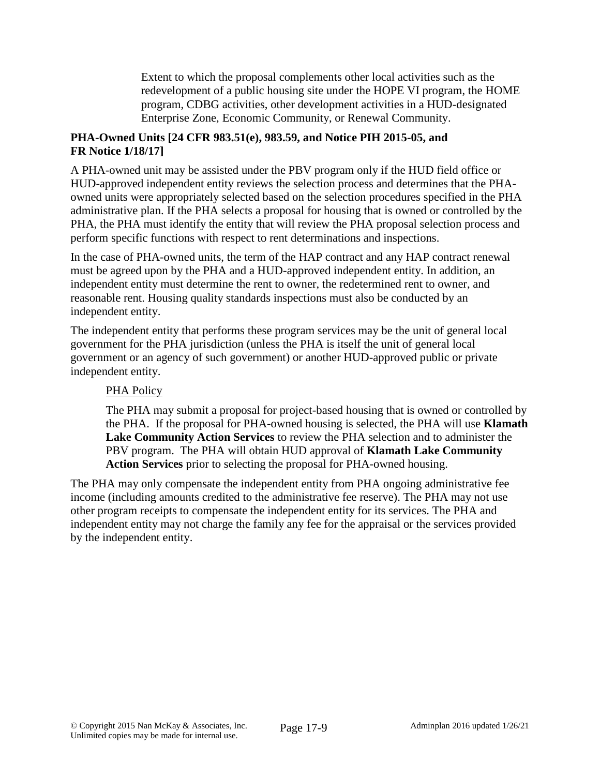Extent to which the proposal complements other local activities such as the redevelopment of a public housing site under the HOPE VI program, the HOME program, CDBG activities, other development activities in a HUD-designated Enterprise Zone, Economic Community, or Renewal Community.

# **PHA-Owned Units [24 CFR 983.51(e), 983.59, and Notice PIH 2015-05, and FR Notice 1/18/17]**

A PHA-owned unit may be assisted under the PBV program only if the HUD field office or HUD-approved independent entity reviews the selection process and determines that the PHAowned units were appropriately selected based on the selection procedures specified in the PHA administrative plan. If the PHA selects a proposal for housing that is owned or controlled by the PHA, the PHA must identify the entity that will review the PHA proposal selection process and perform specific functions with respect to rent determinations and inspections.

In the case of PHA-owned units, the term of the HAP contract and any HAP contract renewal must be agreed upon by the PHA and a HUD-approved independent entity. In addition, an independent entity must determine the rent to owner, the redetermined rent to owner, and reasonable rent. Housing quality standards inspections must also be conducted by an independent entity.

The independent entity that performs these program services may be the unit of general local government for the PHA jurisdiction (unless the PHA is itself the unit of general local government or an agency of such government) or another HUD-approved public or private independent entity.

# PHA Policy

The PHA may submit a proposal for project-based housing that is owned or controlled by the PHA. If the proposal for PHA-owned housing is selected, the PHA will use **Klamath Lake Community Action Services** to review the PHA selection and to administer the PBV program. The PHA will obtain HUD approval of **Klamath Lake Community Action Services** prior to selecting the proposal for PHA-owned housing.

The PHA may only compensate the independent entity from PHA ongoing administrative fee income (including amounts credited to the administrative fee reserve). The PHA may not use other program receipts to compensate the independent entity for its services. The PHA and independent entity may not charge the family any fee for the appraisal or the services provided by the independent entity.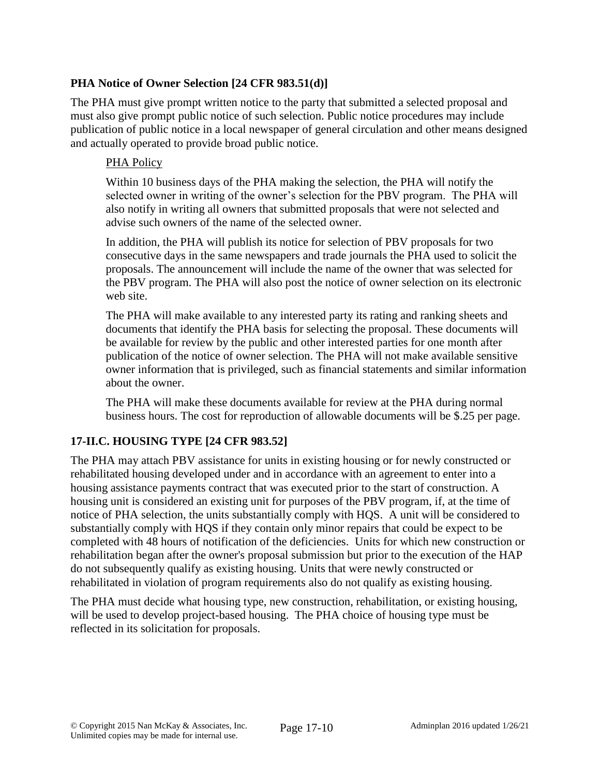# **PHA Notice of Owner Selection [24 CFR 983.51(d)]**

The PHA must give prompt written notice to the party that submitted a selected proposal and must also give prompt public notice of such selection. Public notice procedures may include publication of public notice in a local newspaper of general circulation and other means designed and actually operated to provide broad public notice.

## PHA Policy

Within 10 business days of the PHA making the selection, the PHA will notify the selected owner in writing of the owner's selection for the PBV program. The PHA will also notify in writing all owners that submitted proposals that were not selected and advise such owners of the name of the selected owner.

In addition, the PHA will publish its notice for selection of PBV proposals for two consecutive days in the same newspapers and trade journals the PHA used to solicit the proposals. The announcement will include the name of the owner that was selected for the PBV program. The PHA will also post the notice of owner selection on its electronic web site.

The PHA will make available to any interested party its rating and ranking sheets and documents that identify the PHA basis for selecting the proposal. These documents will be available for review by the public and other interested parties for one month after publication of the notice of owner selection. The PHA will not make available sensitive owner information that is privileged, such as financial statements and similar information about the owner.

The PHA will make these documents available for review at the PHA during normal business hours. The cost for reproduction of allowable documents will be \$.25 per page.

## **17-II.C. HOUSING TYPE [24 CFR 983.52]**

The PHA may attach PBV assistance for units in existing housing or for newly constructed or rehabilitated housing developed under and in accordance with an agreement to enter into a housing assistance payments contract that was executed prior to the start of construction. A housing unit is considered an existing unit for purposes of the PBV program, if, at the time of notice of PHA selection, the units substantially comply with HQS. A unit will be considered to substantially comply with HQS if they contain only minor repairs that could be expect to be completed with 48 hours of notification of the deficiencies. Units for which new construction or rehabilitation began after the owner's proposal submission but prior to the execution of the HAP do not subsequently qualify as existing housing. Units that were newly constructed or rehabilitated in violation of program requirements also do not qualify as existing housing.

The PHA must decide what housing type, new construction, rehabilitation, or existing housing, will be used to develop project-based housing. The PHA choice of housing type must be reflected in its solicitation for proposals.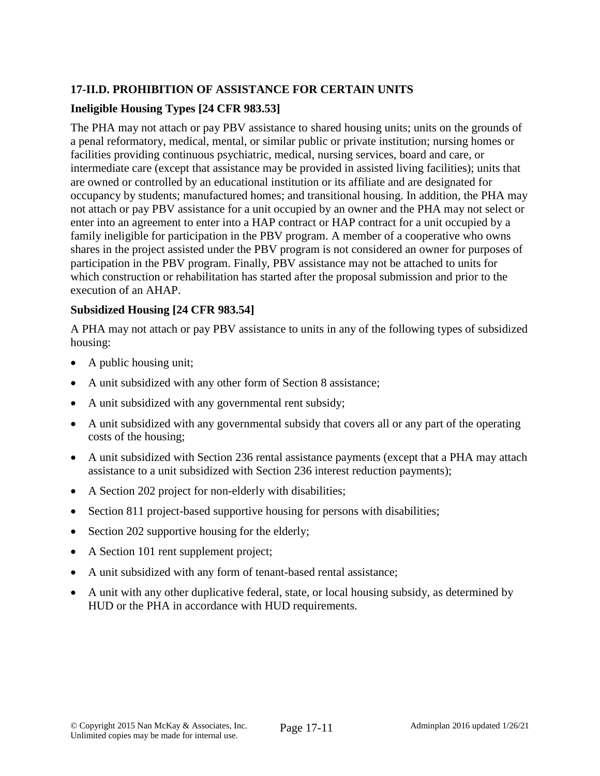# **17-II.D. PROHIBITION OF ASSISTANCE FOR CERTAIN UNITS**

# **Ineligible Housing Types [24 CFR 983.53]**

The PHA may not attach or pay PBV assistance to shared housing units; units on the grounds of a penal reformatory, medical, mental, or similar public or private institution; nursing homes or facilities providing continuous psychiatric, medical, nursing services, board and care, or intermediate care (except that assistance may be provided in assisted living facilities); units that are owned or controlled by an educational institution or its affiliate and are designated for occupancy by students; manufactured homes; and transitional housing. In addition, the PHA may not attach or pay PBV assistance for a unit occupied by an owner and the PHA may not select or enter into an agreement to enter into a HAP contract or HAP contract for a unit occupied by a family ineligible for participation in the PBV program. A member of a cooperative who owns shares in the project assisted under the PBV program is not considered an owner for purposes of participation in the PBV program. Finally, PBV assistance may not be attached to units for which construction or rehabilitation has started after the proposal submission and prior to the execution of an AHAP.

## **Subsidized Housing [24 CFR 983.54]**

A PHA may not attach or pay PBV assistance to units in any of the following types of subsidized housing:

- A public housing unit;
- A unit subsidized with any other form of Section 8 assistance;
- A unit subsidized with any governmental rent subsidy;
- A unit subsidized with any governmental subsidy that covers all or any part of the operating costs of the housing;
- A unit subsidized with Section 236 rental assistance payments (except that a PHA may attach assistance to a unit subsidized with Section 236 interest reduction payments);
- A Section 202 project for non-elderly with disabilities;
- Section 811 project-based supportive housing for persons with disabilities;
- Section 202 supportive housing for the elderly;
- A Section 101 rent supplement project;
- A unit subsidized with any form of tenant-based rental assistance;
- A unit with any other duplicative federal, state, or local housing subsidy, as determined by HUD or the PHA in accordance with HUD requirements.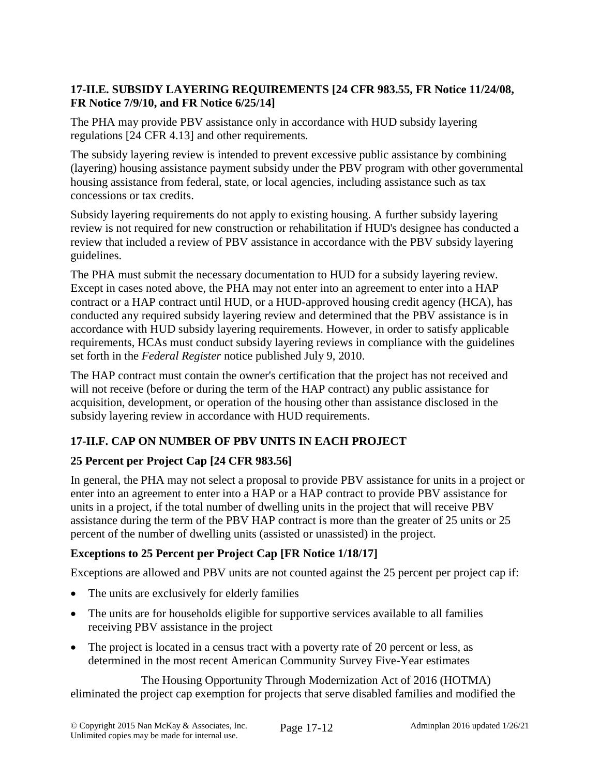# **17-II.E. SUBSIDY LAYERING REQUIREMENTS [24 CFR 983.55, FR Notice 11/24/08, FR Notice 7/9/10, and FR Notice 6/25/14]**

The PHA may provide PBV assistance only in accordance with HUD subsidy layering regulations [24 CFR 4.13] and other requirements.

The subsidy layering review is intended to prevent excessive public assistance by combining (layering) housing assistance payment subsidy under the PBV program with other governmental housing assistance from federal, state, or local agencies, including assistance such as tax concessions or tax credits.

Subsidy layering requirements do not apply to existing housing. A further subsidy layering review is not required for new construction or rehabilitation if HUD's designee has conducted a review that included a review of PBV assistance in accordance with the PBV subsidy layering guidelines.

The PHA must submit the necessary documentation to HUD for a subsidy layering review. Except in cases noted above, the PHA may not enter into an agreement to enter into a HAP contract or a HAP contract until HUD, or a HUD-approved housing credit agency (HCA), has conducted any required subsidy layering review and determined that the PBV assistance is in accordance with HUD subsidy layering requirements. However, in order to satisfy applicable requirements, HCAs must conduct subsidy layering reviews in compliance with the guidelines set forth in the *Federal Register* notice published July 9, 2010.

The HAP contract must contain the owner's certification that the project has not received and will not receive (before or during the term of the HAP contract) any public assistance for acquisition, development, or operation of the housing other than assistance disclosed in the subsidy layering review in accordance with HUD requirements.

# **17-II.F. CAP ON NUMBER OF PBV UNITS IN EACH PROJECT**

# **25 Percent per Project Cap [24 CFR 983.56]**

In general, the PHA may not select a proposal to provide PBV assistance for units in a project or enter into an agreement to enter into a HAP or a HAP contract to provide PBV assistance for units in a project, if the total number of dwelling units in the project that will receive PBV assistance during the term of the PBV HAP contract is more than the greater of 25 units or 25 percent of the number of dwelling units (assisted or unassisted) in the project.

# **Exceptions to 25 Percent per Project Cap [FR Notice 1/18/17]**

Exceptions are allowed and PBV units are not counted against the 25 percent per project cap if:

- The units are exclusively for elderly families
- The units are for households eligible for supportive services available to all families receiving PBV assistance in the project
- The project is located in a census tract with a poverty rate of 20 percent or less, as determined in the most recent American Community Survey Five-Year estimates

The Housing Opportunity Through Modernization Act of 2016 (HOTMA) eliminated the project cap exemption for projects that serve disabled families and modified the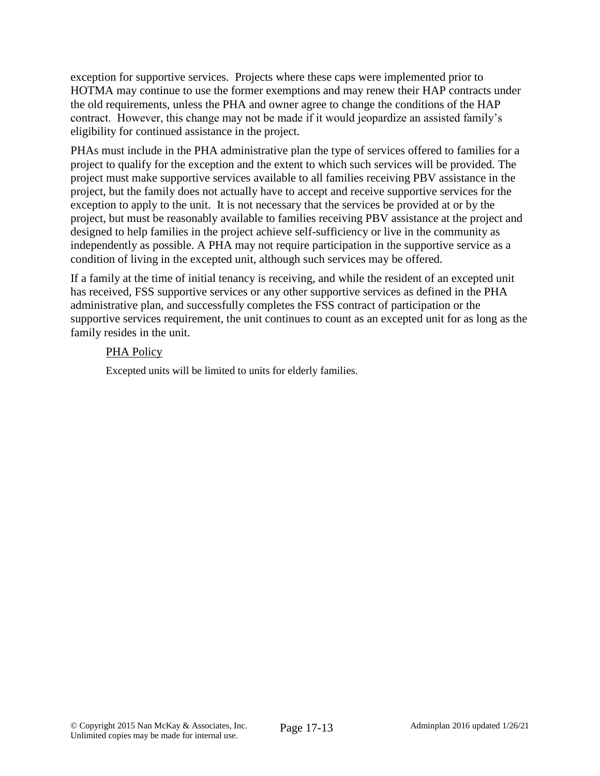exception for supportive services. Projects where these caps were implemented prior to HOTMA may continue to use the former exemptions and may renew their HAP contracts under the old requirements, unless the PHA and owner agree to change the conditions of the HAP contract. However, this change may not be made if it would jeopardize an assisted family's eligibility for continued assistance in the project.

PHAs must include in the PHA administrative plan the type of services offered to families for a project to qualify for the exception and the extent to which such services will be provided. The project must make supportive services available to all families receiving PBV assistance in the project, but the family does not actually have to accept and receive supportive services for the exception to apply to the unit. It is not necessary that the services be provided at or by the project, but must be reasonably available to families receiving PBV assistance at the project and designed to help families in the project achieve self-sufficiency or live in the community as independently as possible. A PHA may not require participation in the supportive service as a condition of living in the excepted unit, although such services may be offered.

If a family at the time of initial tenancy is receiving, and while the resident of an excepted unit has received, FSS supportive services or any other supportive services as defined in the PHA administrative plan, and successfully completes the FSS contract of participation or the supportive services requirement, the unit continues to count as an excepted unit for as long as the family resides in the unit.

## PHA Policy

Excepted units will be limited to units for elderly families.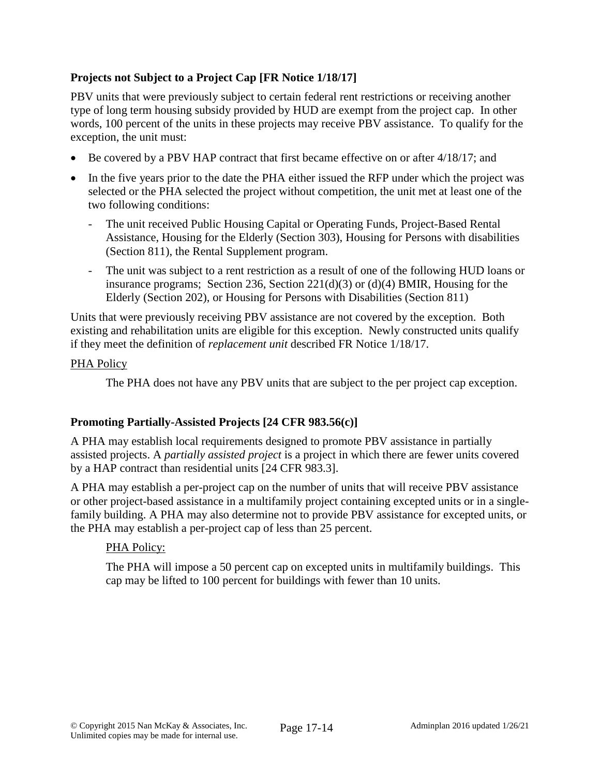# **Projects not Subject to a Project Cap [FR Notice 1/18/17]**

PBV units that were previously subject to certain federal rent restrictions or receiving another type of long term housing subsidy provided by HUD are exempt from the project cap. In other words, 100 percent of the units in these projects may receive PBV assistance. To qualify for the exception, the unit must:

- Be covered by a PBV HAP contract that first became effective on or after 4/18/17; and
- In the five years prior to the date the PHA either issued the RFP under which the project was selected or the PHA selected the project without competition, the unit met at least one of the two following conditions:
	- The unit received Public Housing Capital or Operating Funds, Project-Based Rental Assistance, Housing for the Elderly (Section 303), Housing for Persons with disabilities (Section 811), the Rental Supplement program.
	- The unit was subject to a rent restriction as a result of one of the following HUD loans or insurance programs; Section 236, Section 221(d)(3) or (d)(4) BMIR, Housing for the Elderly (Section 202), or Housing for Persons with Disabilities (Section 811)

Units that were previously receiving PBV assistance are not covered by the exception. Both existing and rehabilitation units are eligible for this exception. Newly constructed units qualify if they meet the definition of *replacement unit* described FR Notice 1/18/17.

## PHA Policy

The PHA does not have any PBV units that are subject to the per project cap exception.

## **Promoting Partially-Assisted Projects [24 CFR 983.56(c)]**

A PHA may establish local requirements designed to promote PBV assistance in partially assisted projects. A *partially assisted project* is a project in which there are fewer units covered by a HAP contract than residential units [24 CFR 983.3].

A PHA may establish a per-project cap on the number of units that will receive PBV assistance or other project-based assistance in a multifamily project containing excepted units or in a singlefamily building. A PHA may also determine not to provide PBV assistance for excepted units, or the PHA may establish a per-project cap of less than 25 percent.

## PHA Policy:

The PHA will impose a 50 percent cap on excepted units in multifamily buildings. This cap may be lifted to 100 percent for buildings with fewer than 10 units.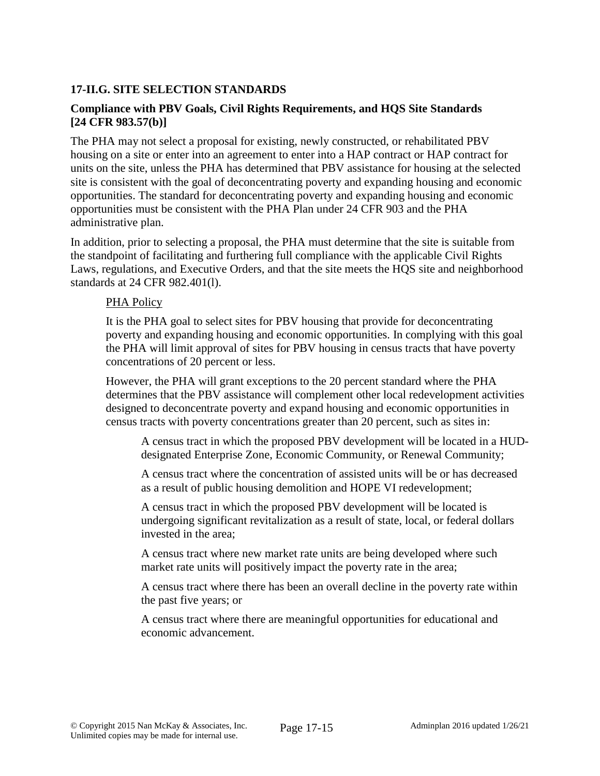## **17-II.G. SITE SELECTION STANDARDS**

## **Compliance with PBV Goals, Civil Rights Requirements, and HQS Site Standards [24 CFR 983.57(b)]**

The PHA may not select a proposal for existing, newly constructed, or rehabilitated PBV housing on a site or enter into an agreement to enter into a HAP contract or HAP contract for units on the site, unless the PHA has determined that PBV assistance for housing at the selected site is consistent with the goal of deconcentrating poverty and expanding housing and economic opportunities. The standard for deconcentrating poverty and expanding housing and economic opportunities must be consistent with the PHA Plan under 24 CFR 903 and the PHA administrative plan.

In addition, prior to selecting a proposal, the PHA must determine that the site is suitable from the standpoint of facilitating and furthering full compliance with the applicable Civil Rights Laws, regulations, and Executive Orders, and that the site meets the HQS site and neighborhood standards at 24 CFR 982.401(l).

#### PHA Policy

It is the PHA goal to select sites for PBV housing that provide for deconcentrating poverty and expanding housing and economic opportunities. In complying with this goal the PHA will limit approval of sites for PBV housing in census tracts that have poverty concentrations of 20 percent or less.

However, the PHA will grant exceptions to the 20 percent standard where the PHA determines that the PBV assistance will complement other local redevelopment activities designed to deconcentrate poverty and expand housing and economic opportunities in census tracts with poverty concentrations greater than 20 percent, such as sites in:

A census tract in which the proposed PBV development will be located in a HUDdesignated Enterprise Zone, Economic Community, or Renewal Community;

A census tract where the concentration of assisted units will be or has decreased as a result of public housing demolition and HOPE VI redevelopment;

A census tract in which the proposed PBV development will be located is undergoing significant revitalization as a result of state, local, or federal dollars invested in the area;

A census tract where new market rate units are being developed where such market rate units will positively impact the poverty rate in the area;

A census tract where there has been an overall decline in the poverty rate within the past five years; or

A census tract where there are meaningful opportunities for educational and economic advancement.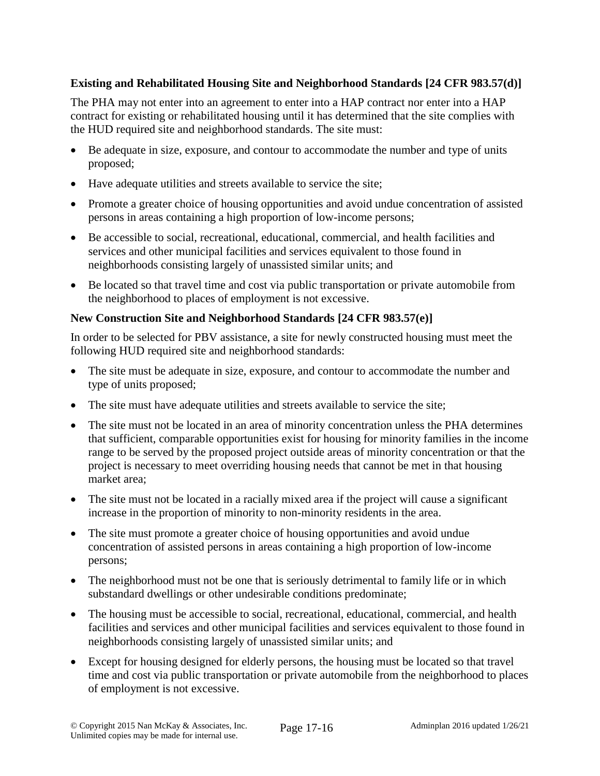# **Existing and Rehabilitated Housing Site and Neighborhood Standards [24 CFR 983.57(d)]**

The PHA may not enter into an agreement to enter into a HAP contract nor enter into a HAP contract for existing or rehabilitated housing until it has determined that the site complies with the HUD required site and neighborhood standards. The site must:

- Be adequate in size, exposure, and contour to accommodate the number and type of units proposed;
- Have adequate utilities and streets available to service the site;
- Promote a greater choice of housing opportunities and avoid undue concentration of assisted persons in areas containing a high proportion of low-income persons;
- Be accessible to social, recreational, educational, commercial, and health facilities and services and other municipal facilities and services equivalent to those found in neighborhoods consisting largely of unassisted similar units; and
- Be located so that travel time and cost via public transportation or private automobile from the neighborhood to places of employment is not excessive.

## **New Construction Site and Neighborhood Standards [24 CFR 983.57(e)]**

In order to be selected for PBV assistance, a site for newly constructed housing must meet the following HUD required site and neighborhood standards:

- The site must be adequate in size, exposure, and contour to accommodate the number and type of units proposed;
- The site must have adequate utilities and streets available to service the site;
- The site must not be located in an area of minority concentration unless the PHA determines that sufficient, comparable opportunities exist for housing for minority families in the income range to be served by the proposed project outside areas of minority concentration or that the project is necessary to meet overriding housing needs that cannot be met in that housing market area;
- The site must not be located in a racially mixed area if the project will cause a significant increase in the proportion of minority to non-minority residents in the area.
- The site must promote a greater choice of housing opportunities and avoid undue concentration of assisted persons in areas containing a high proportion of low-income persons;
- The neighborhood must not be one that is seriously detrimental to family life or in which substandard dwellings or other undesirable conditions predominate;
- The housing must be accessible to social, recreational, educational, commercial, and health facilities and services and other municipal facilities and services equivalent to those found in neighborhoods consisting largely of unassisted similar units; and
- Except for housing designed for elderly persons, the housing must be located so that travel time and cost via public transportation or private automobile from the neighborhood to places of employment is not excessive.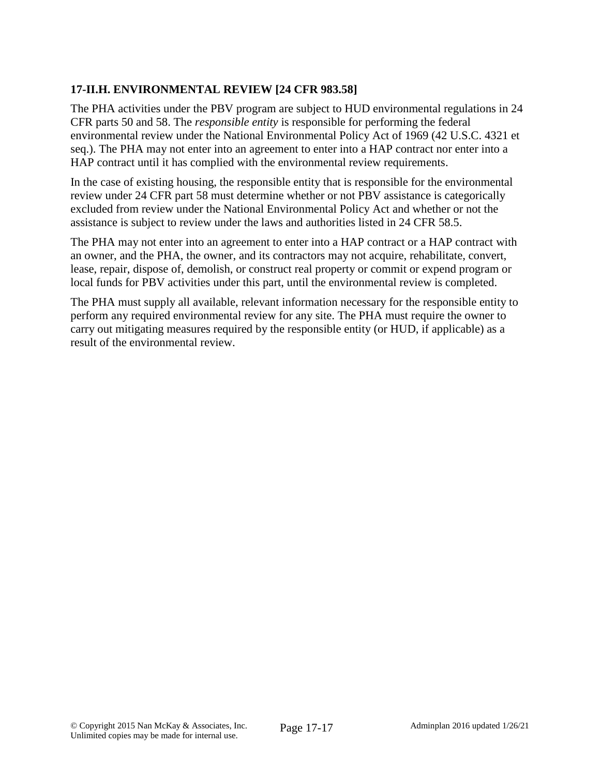# **17-II.H. ENVIRONMENTAL REVIEW [24 CFR 983.58]**

The PHA activities under the PBV program are subject to HUD environmental regulations in 24 CFR parts 50 and 58. The *responsible entity* is responsible for performing the federal environmental review under the National Environmental Policy Act of 1969 (42 U.S.C. 4321 et seq.). The PHA may not enter into an agreement to enter into a HAP contract nor enter into a HAP contract until it has complied with the environmental review requirements.

In the case of existing housing, the responsible entity that is responsible for the environmental review under 24 CFR part 58 must determine whether or not PBV assistance is categorically excluded from review under the National Environmental Policy Act and whether or not the assistance is subject to review under the laws and authorities listed in 24 CFR 58.5.

The PHA may not enter into an agreement to enter into a HAP contract or a HAP contract with an owner, and the PHA, the owner, and its contractors may not acquire, rehabilitate, convert, lease, repair, dispose of, demolish, or construct real property or commit or expend program or local funds for PBV activities under this part, until the environmental review is completed.

The PHA must supply all available, relevant information necessary for the responsible entity to perform any required environmental review for any site. The PHA must require the owner to carry out mitigating measures required by the responsible entity (or HUD, if applicable) as a result of the environmental review.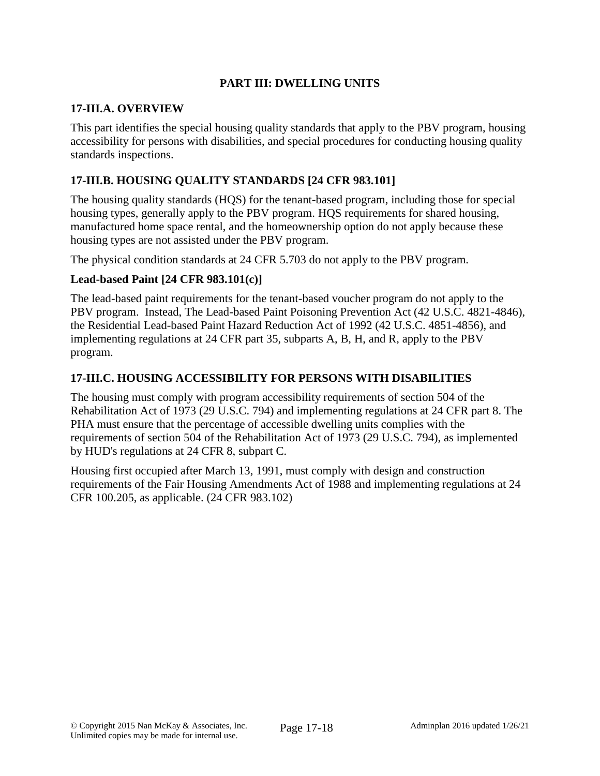# **PART III: DWELLING UNITS**

#### **17-III.A. OVERVIEW**

This part identifies the special housing quality standards that apply to the PBV program, housing accessibility for persons with disabilities, and special procedures for conducting housing quality standards inspections.

## **17-III.B. HOUSING QUALITY STANDARDS [24 CFR 983.101]**

The housing quality standards (HQS) for the tenant-based program, including those for special housing types, generally apply to the PBV program. HQS requirements for shared housing, manufactured home space rental, and the homeownership option do not apply because these housing types are not assisted under the PBV program.

The physical condition standards at 24 CFR 5.703 do not apply to the PBV program.

#### **Lead-based Paint [24 CFR 983.101(c)]**

The lead-based paint requirements for the tenant-based voucher program do not apply to the PBV program. Instead, The Lead-based Paint Poisoning Prevention Act (42 U.S.C. 4821-4846), the Residential Lead-based Paint Hazard Reduction Act of 1992 (42 U.S.C. 4851-4856), and implementing regulations at 24 CFR part 35, subparts A, B, H, and R, apply to the PBV program.

#### **17-III.C. HOUSING ACCESSIBILITY FOR PERSONS WITH DISABILITIES**

The housing must comply with program accessibility requirements of section 504 of the Rehabilitation Act of 1973 (29 U.S.C. 794) and implementing regulations at 24 CFR part 8. The PHA must ensure that the percentage of accessible dwelling units complies with the requirements of section 504 of the Rehabilitation Act of 1973 (29 U.S.C. 794), as implemented by HUD's regulations at 24 CFR 8, subpart C.

Housing first occupied after March 13, 1991, must comply with design and construction requirements of the Fair Housing Amendments Act of 1988 and implementing regulations at 24 CFR 100.205, as applicable. (24 CFR 983.102)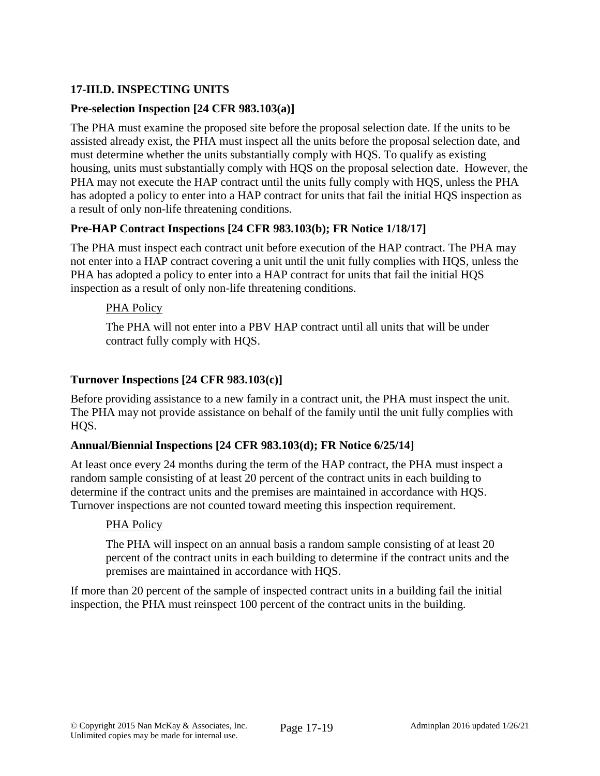# **17-III.D. INSPECTING UNITS**

## **Pre-selection Inspection [24 CFR 983.103(a)]**

The PHA must examine the proposed site before the proposal selection date. If the units to be assisted already exist, the PHA must inspect all the units before the proposal selection date, and must determine whether the units substantially comply with HQS. To qualify as existing housing, units must substantially comply with HQS on the proposal selection date. However, the PHA may not execute the HAP contract until the units fully comply with HQS, unless the PHA has adopted a policy to enter into a HAP contract for units that fail the initial HQS inspection as a result of only non-life threatening conditions.

#### **Pre-HAP Contract Inspections [24 CFR 983.103(b); FR Notice 1/18/17]**

The PHA must inspect each contract unit before execution of the HAP contract. The PHA may not enter into a HAP contract covering a unit until the unit fully complies with HQS, unless the PHA has adopted a policy to enter into a HAP contract for units that fail the initial HQS inspection as a result of only non-life threatening conditions.

#### PHA Policy

The PHA will not enter into a PBV HAP contract until all units that will be under contract fully comply with HQS.

#### **Turnover Inspections [24 CFR 983.103(c)]**

Before providing assistance to a new family in a contract unit, the PHA must inspect the unit. The PHA may not provide assistance on behalf of the family until the unit fully complies with HOS.

#### **Annual/Biennial Inspections [24 CFR 983.103(d); FR Notice 6/25/14]**

At least once every 24 months during the term of the HAP contract, the PHA must inspect a random sample consisting of at least 20 percent of the contract units in each building to determine if the contract units and the premises are maintained in accordance with HQS. Turnover inspections are not counted toward meeting this inspection requirement.

#### PHA Policy

The PHA will inspect on an annual basis a random sample consisting of at least 20 percent of the contract units in each building to determine if the contract units and the premises are maintained in accordance with HQS.

If more than 20 percent of the sample of inspected contract units in a building fail the initial inspection, the PHA must reinspect 100 percent of the contract units in the building.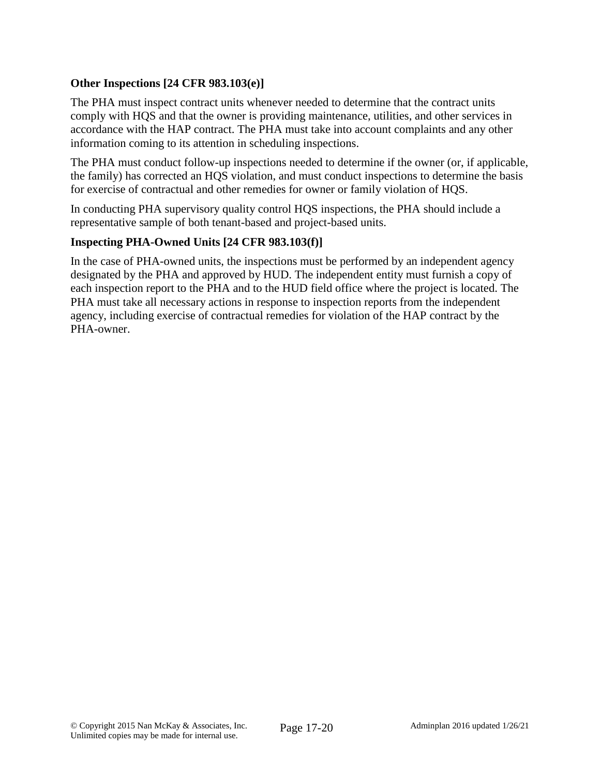# **Other Inspections [24 CFR 983.103(e)]**

The PHA must inspect contract units whenever needed to determine that the contract units comply with HQS and that the owner is providing maintenance, utilities, and other services in accordance with the HAP contract. The PHA must take into account complaints and any other information coming to its attention in scheduling inspections.

The PHA must conduct follow-up inspections needed to determine if the owner (or, if applicable, the family) has corrected an HQS violation, and must conduct inspections to determine the basis for exercise of contractual and other remedies for owner or family violation of HQS.

In conducting PHA supervisory quality control HQS inspections, the PHA should include a representative sample of both tenant-based and project-based units.

## **Inspecting PHA-Owned Units [24 CFR 983.103(f)]**

In the case of PHA-owned units, the inspections must be performed by an independent agency designated by the PHA and approved by HUD. The independent entity must furnish a copy of each inspection report to the PHA and to the HUD field office where the project is located. The PHA must take all necessary actions in response to inspection reports from the independent agency, including exercise of contractual remedies for violation of the HAP contract by the PHA-owner.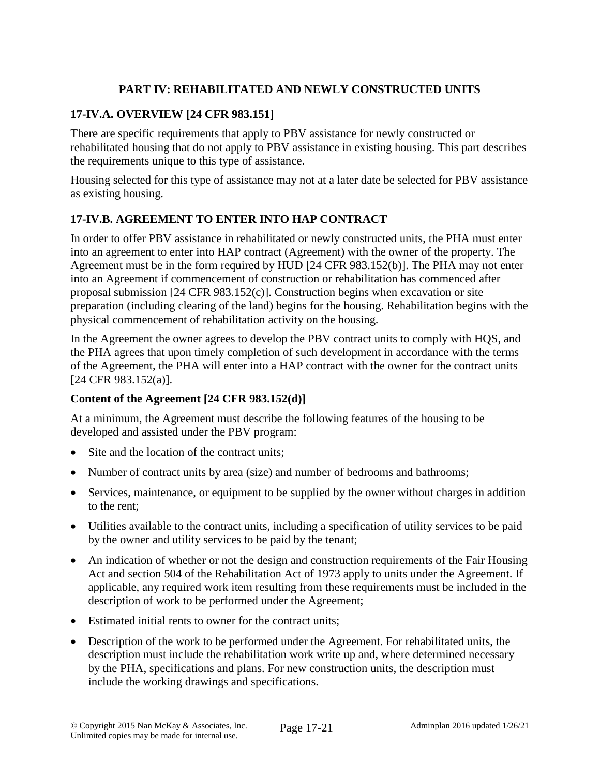# **PART IV: REHABILITATED AND NEWLY CONSTRUCTED UNITS**

# **17-IV.A. OVERVIEW [24 CFR 983.151]**

There are specific requirements that apply to PBV assistance for newly constructed or rehabilitated housing that do not apply to PBV assistance in existing housing. This part describes the requirements unique to this type of assistance.

Housing selected for this type of assistance may not at a later date be selected for PBV assistance as existing housing.

# **17-IV.B. AGREEMENT TO ENTER INTO HAP CONTRACT**

In order to offer PBV assistance in rehabilitated or newly constructed units, the PHA must enter into an agreement to enter into HAP contract (Agreement) with the owner of the property. The Agreement must be in the form required by HUD [24 CFR 983.152(b)]. The PHA may not enter into an Agreement if commencement of construction or rehabilitation has commenced after proposal submission [24 CFR 983.152(c)]. Construction begins when excavation or site preparation (including clearing of the land) begins for the housing. Rehabilitation begins with the physical commencement of rehabilitation activity on the housing.

In the Agreement the owner agrees to develop the PBV contract units to comply with HQS, and the PHA agrees that upon timely completion of such development in accordance with the terms of the Agreement, the PHA will enter into a HAP contract with the owner for the contract units [24 CFR 983.152(a)].

## **Content of the Agreement [24 CFR 983.152(d)]**

At a minimum, the Agreement must describe the following features of the housing to be developed and assisted under the PBV program:

- Site and the location of the contract units;
- Number of contract units by area (size) and number of bedrooms and bathrooms;
- Services, maintenance, or equipment to be supplied by the owner without charges in addition to the rent;
- Utilities available to the contract units, including a specification of utility services to be paid by the owner and utility services to be paid by the tenant;
- An indication of whether or not the design and construction requirements of the Fair Housing Act and section 504 of the Rehabilitation Act of 1973 apply to units under the Agreement. If applicable, any required work item resulting from these requirements must be included in the description of work to be performed under the Agreement;
- Estimated initial rents to owner for the contract units;
- Description of the work to be performed under the Agreement. For rehabilitated units, the description must include the rehabilitation work write up and, where determined necessary by the PHA, specifications and plans. For new construction units, the description must include the working drawings and specifications.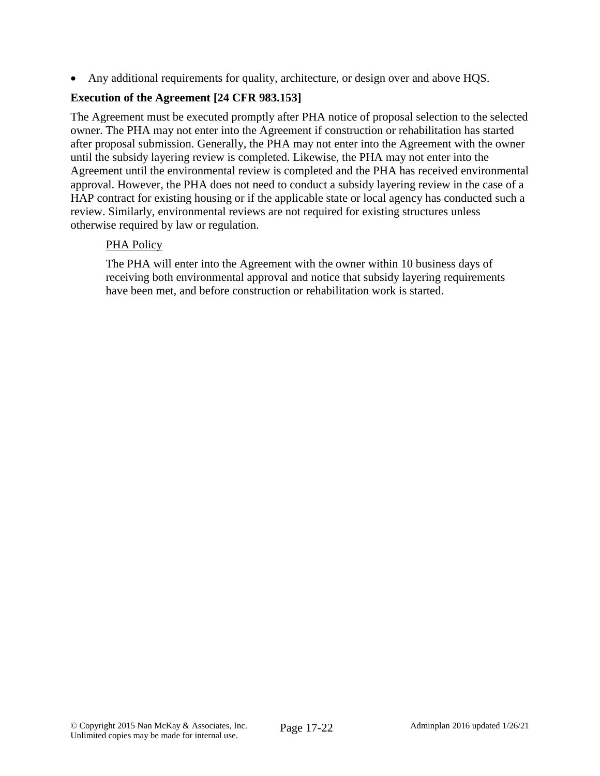Any additional requirements for quality, architecture, or design over and above HQS.

## **Execution of the Agreement [24 CFR 983.153]**

The Agreement must be executed promptly after PHA notice of proposal selection to the selected owner. The PHA may not enter into the Agreement if construction or rehabilitation has started after proposal submission. Generally, the PHA may not enter into the Agreement with the owner until the subsidy layering review is completed. Likewise, the PHA may not enter into the Agreement until the environmental review is completed and the PHA has received environmental approval. However, the PHA does not need to conduct a subsidy layering review in the case of a HAP contract for existing housing or if the applicable state or local agency has conducted such a review. Similarly, environmental reviews are not required for existing structures unless otherwise required by law or regulation.

## PHA Policy

The PHA will enter into the Agreement with the owner within 10 business days of receiving both environmental approval and notice that subsidy layering requirements have been met, and before construction or rehabilitation work is started.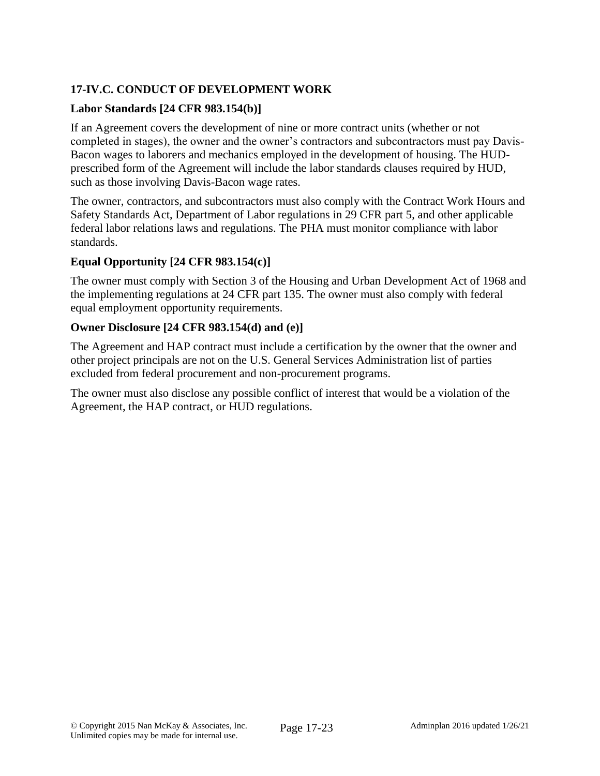# **17-IV.C. CONDUCT OF DEVELOPMENT WORK**

## **Labor Standards [24 CFR 983.154(b)]**

If an Agreement covers the development of nine or more contract units (whether or not completed in stages), the owner and the owner's contractors and subcontractors must pay Davis-Bacon wages to laborers and mechanics employed in the development of housing. The HUDprescribed form of the Agreement will include the labor standards clauses required by HUD, such as those involving Davis-Bacon wage rates.

The owner, contractors, and subcontractors must also comply with the Contract Work Hours and Safety Standards Act, Department of Labor regulations in 29 CFR part 5, and other applicable federal labor relations laws and regulations. The PHA must monitor compliance with labor standards.

#### **Equal Opportunity [24 CFR 983.154(c)]**

The owner must comply with Section 3 of the Housing and Urban Development Act of 1968 and the implementing regulations at 24 CFR part 135. The owner must also comply with federal equal employment opportunity requirements.

#### **Owner Disclosure [24 CFR 983.154(d) and (e)]**

The Agreement and HAP contract must include a certification by the owner that the owner and other project principals are not on the U.S. General Services Administration list of parties excluded from federal procurement and non-procurement programs.

The owner must also disclose any possible conflict of interest that would be a violation of the Agreement, the HAP contract, or HUD regulations.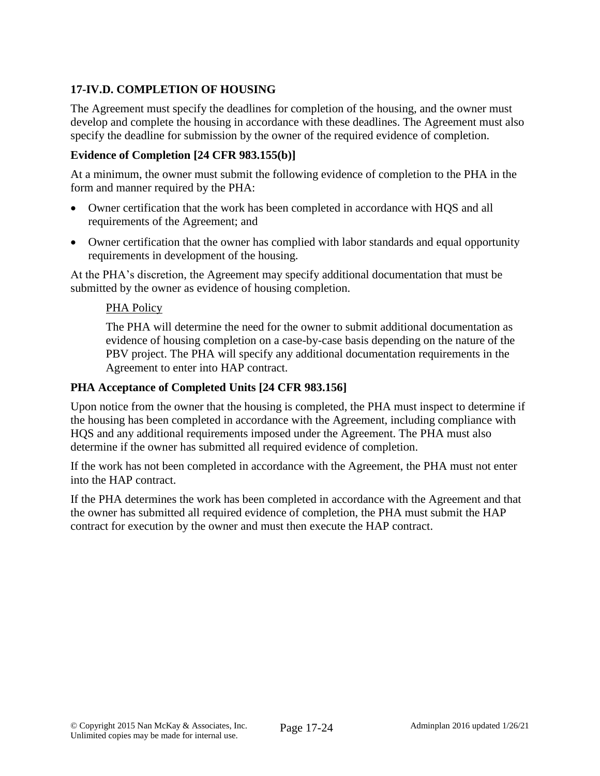# **17-IV.D. COMPLETION OF HOUSING**

The Agreement must specify the deadlines for completion of the housing, and the owner must develop and complete the housing in accordance with these deadlines. The Agreement must also specify the deadline for submission by the owner of the required evidence of completion.

#### **Evidence of Completion [24 CFR 983.155(b)]**

At a minimum, the owner must submit the following evidence of completion to the PHA in the form and manner required by the PHA:

- Owner certification that the work has been completed in accordance with HQS and all requirements of the Agreement; and
- Owner certification that the owner has complied with labor standards and equal opportunity requirements in development of the housing.

At the PHA's discretion, the Agreement may specify additional documentation that must be submitted by the owner as evidence of housing completion.

#### PHA Policy

The PHA will determine the need for the owner to submit additional documentation as evidence of housing completion on a case-by-case basis depending on the nature of the PBV project. The PHA will specify any additional documentation requirements in the Agreement to enter into HAP contract.

#### **PHA Acceptance of Completed Units [24 CFR 983.156]**

Upon notice from the owner that the housing is completed, the PHA must inspect to determine if the housing has been completed in accordance with the Agreement, including compliance with HQS and any additional requirements imposed under the Agreement. The PHA must also determine if the owner has submitted all required evidence of completion.

If the work has not been completed in accordance with the Agreement, the PHA must not enter into the HAP contract.

If the PHA determines the work has been completed in accordance with the Agreement and that the owner has submitted all required evidence of completion, the PHA must submit the HAP contract for execution by the owner and must then execute the HAP contract.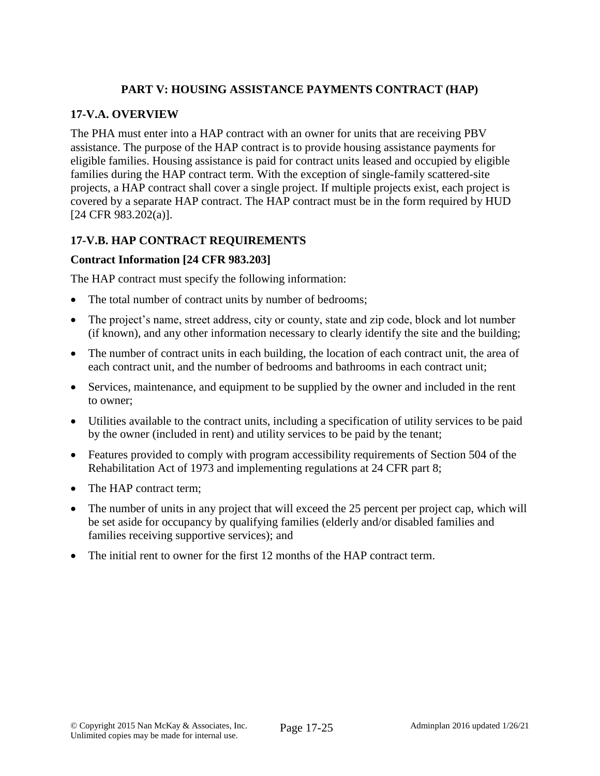# **PART V: HOUSING ASSISTANCE PAYMENTS CONTRACT (HAP)**

## **17-V.A. OVERVIEW**

The PHA must enter into a HAP contract with an owner for units that are receiving PBV assistance. The purpose of the HAP contract is to provide housing assistance payments for eligible families. Housing assistance is paid for contract units leased and occupied by eligible families during the HAP contract term. With the exception of single-family scattered-site projects, a HAP contract shall cover a single project. If multiple projects exist, each project is covered by a separate HAP contract. The HAP contract must be in the form required by HUD [24 CFR 983.202(a)].

# **17-V.B. HAP CONTRACT REQUIREMENTS**

## **Contract Information [24 CFR 983.203]**

The HAP contract must specify the following information:

- The total number of contract units by number of bedrooms;
- The project's name, street address, city or county, state and zip code, block and lot number (if known), and any other information necessary to clearly identify the site and the building;
- The number of contract units in each building, the location of each contract unit, the area of each contract unit, and the number of bedrooms and bathrooms in each contract unit;
- Services, maintenance, and equipment to be supplied by the owner and included in the rent to owner;
- Utilities available to the contract units, including a specification of utility services to be paid by the owner (included in rent) and utility services to be paid by the tenant;
- Features provided to comply with program accessibility requirements of Section 504 of the Rehabilitation Act of 1973 and implementing regulations at 24 CFR part 8;
- The HAP contract term:
- The number of units in any project that will exceed the 25 percent per project cap, which will be set aside for occupancy by qualifying families (elderly and/or disabled families and families receiving supportive services); and
- The initial rent to owner for the first 12 months of the HAP contract term.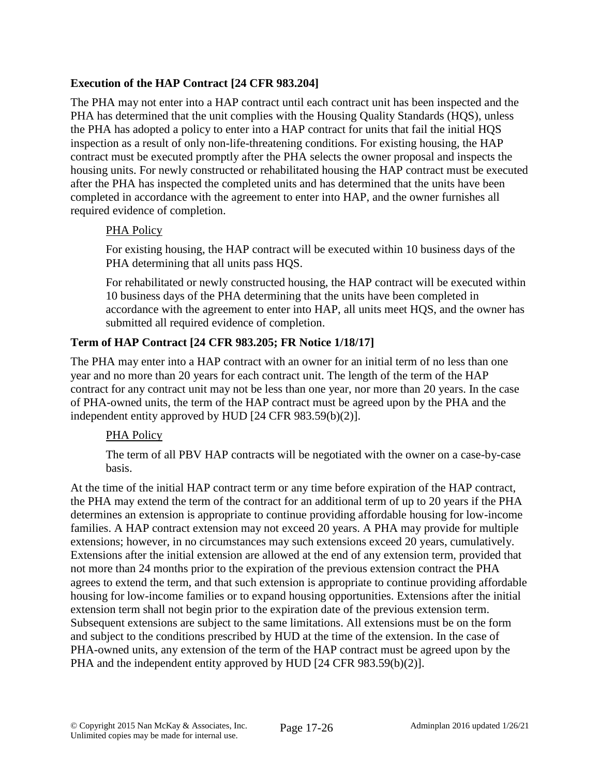# **Execution of the HAP Contract [24 CFR 983.204]**

The PHA may not enter into a HAP contract until each contract unit has been inspected and the PHA has determined that the unit complies with the Housing Quality Standards (HQS), unless the PHA has adopted a policy to enter into a HAP contract for units that fail the initial HQS inspection as a result of only non-life-threatening conditions. For existing housing, the HAP contract must be executed promptly after the PHA selects the owner proposal and inspects the housing units. For newly constructed or rehabilitated housing the HAP contract must be executed after the PHA has inspected the completed units and has determined that the units have been completed in accordance with the agreement to enter into HAP, and the owner furnishes all required evidence of completion.

## PHA Policy

For existing housing, the HAP contract will be executed within 10 business days of the PHA determining that all units pass HQS.

For rehabilitated or newly constructed housing, the HAP contract will be executed within 10 business days of the PHA determining that the units have been completed in accordance with the agreement to enter into HAP, all units meet HQS, and the owner has submitted all required evidence of completion.

# **Term of HAP Contract [24 CFR 983.205; FR Notice 1/18/17]**

The PHA may enter into a HAP contract with an owner for an initial term of no less than one year and no more than 20 years for each contract unit. The length of the term of the HAP contract for any contract unit may not be less than one year, nor more than 20 years. In the case of PHA-owned units, the term of the HAP contract must be agreed upon by the PHA and the independent entity approved by HUD [24 CFR 983.59(b)(2)].

## PHA Policy

The term of all PBV HAP contracts will be negotiated with the owner on a case-by-case basis.

At the time of the initial HAP contract term or any time before expiration of the HAP contract, the PHA may extend the term of the contract for an additional term of up to 20 years if the PHA determines an extension is appropriate to continue providing affordable housing for low-income families. A HAP contract extension may not exceed 20 years. A PHA may provide for multiple extensions; however, in no circumstances may such extensions exceed 20 years, cumulatively. Extensions after the initial extension are allowed at the end of any extension term, provided that not more than 24 months prior to the expiration of the previous extension contract the PHA agrees to extend the term, and that such extension is appropriate to continue providing affordable housing for low-income families or to expand housing opportunities. Extensions after the initial extension term shall not begin prior to the expiration date of the previous extension term. Subsequent extensions are subject to the same limitations. All extensions must be on the form and subject to the conditions prescribed by HUD at the time of the extension. In the case of PHA-owned units, any extension of the term of the HAP contract must be agreed upon by the PHA and the independent entity approved by HUD [24 CFR 983.59(b)(2)].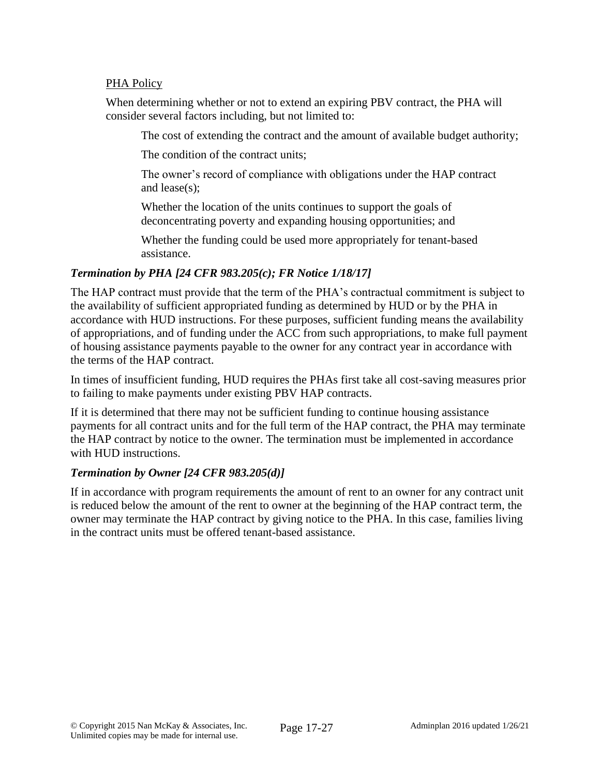#### PHA Policy

When determining whether or not to extend an expiring PBV contract, the PHA will consider several factors including, but not limited to:

The cost of extending the contract and the amount of available budget authority;

The condition of the contract units;

The owner's record of compliance with obligations under the HAP contract and lease(s);

Whether the location of the units continues to support the goals of deconcentrating poverty and expanding housing opportunities; and

Whether the funding could be used more appropriately for tenant-based assistance.

## *Termination by PHA [24 CFR 983.205(c); FR Notice 1/18/17]*

The HAP contract must provide that the term of the PHA's contractual commitment is subject to the availability of sufficient appropriated funding as determined by HUD or by the PHA in accordance with HUD instructions. For these purposes, sufficient funding means the availability of appropriations, and of funding under the ACC from such appropriations, to make full payment of housing assistance payments payable to the owner for any contract year in accordance with the terms of the HAP contract.

In times of insufficient funding, HUD requires the PHAs first take all cost-saving measures prior to failing to make payments under existing PBV HAP contracts.

If it is determined that there may not be sufficient funding to continue housing assistance payments for all contract units and for the full term of the HAP contract, the PHA may terminate the HAP contract by notice to the owner. The termination must be implemented in accordance with HUD instructions.

## *Termination by Owner [24 CFR 983.205(d)]*

If in accordance with program requirements the amount of rent to an owner for any contract unit is reduced below the amount of the rent to owner at the beginning of the HAP contract term, the owner may terminate the HAP contract by giving notice to the PHA. In this case, families living in the contract units must be offered tenant-based assistance.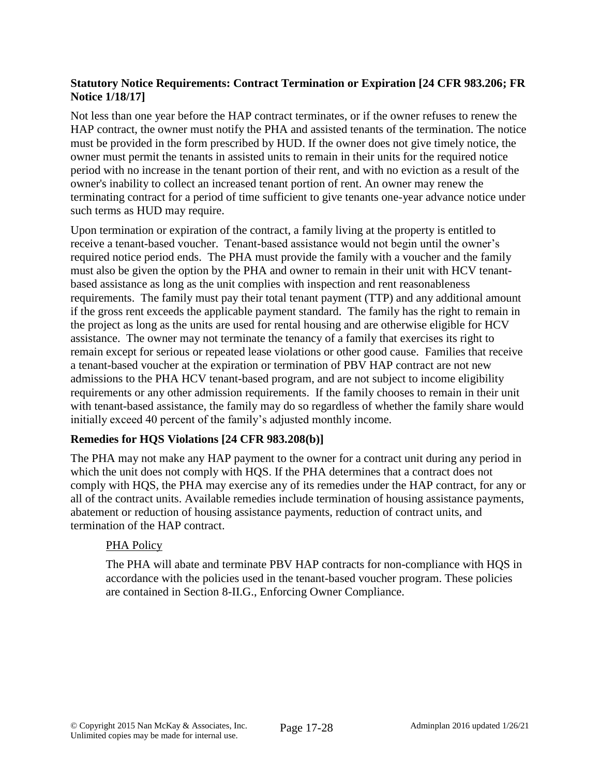## **Statutory Notice Requirements: Contract Termination or Expiration [24 CFR 983.206; FR Notice 1/18/17]**

Not less than one year before the HAP contract terminates, or if the owner refuses to renew the HAP contract, the owner must notify the PHA and assisted tenants of the termination. The notice must be provided in the form prescribed by HUD. If the owner does not give timely notice, the owner must permit the tenants in assisted units to remain in their units for the required notice period with no increase in the tenant portion of their rent, and with no eviction as a result of the owner's inability to collect an increased tenant portion of rent. An owner may renew the terminating contract for a period of time sufficient to give tenants one-year advance notice under such terms as HUD may require.

Upon termination or expiration of the contract, a family living at the property is entitled to receive a tenant-based voucher. Tenant-based assistance would not begin until the owner's required notice period ends. The PHA must provide the family with a voucher and the family must also be given the option by the PHA and owner to remain in their unit with HCV tenantbased assistance as long as the unit complies with inspection and rent reasonableness requirements. The family must pay their total tenant payment (TTP) and any additional amount if the gross rent exceeds the applicable payment standard. The family has the right to remain in the project as long as the units are used for rental housing and are otherwise eligible for HCV assistance. The owner may not terminate the tenancy of a family that exercises its right to remain except for serious or repeated lease violations or other good cause. Families that receive a tenant-based voucher at the expiration or termination of PBV HAP contract are not new admissions to the PHA HCV tenant-based program, and are not subject to income eligibility requirements or any other admission requirements. If the family chooses to remain in their unit with tenant-based assistance, the family may do so regardless of whether the family share would initially exceed 40 percent of the family's adjusted monthly income.

## **Remedies for HQS Violations [24 CFR 983.208(b)]**

The PHA may not make any HAP payment to the owner for a contract unit during any period in which the unit does not comply with HQS. If the PHA determines that a contract does not comply with HQS, the PHA may exercise any of its remedies under the HAP contract, for any or all of the contract units. Available remedies include termination of housing assistance payments, abatement or reduction of housing assistance payments, reduction of contract units, and termination of the HAP contract.

## PHA Policy

The PHA will abate and terminate PBV HAP contracts for non-compliance with HQS in accordance with the policies used in the tenant-based voucher program. These policies are contained in Section 8-II.G., Enforcing Owner Compliance.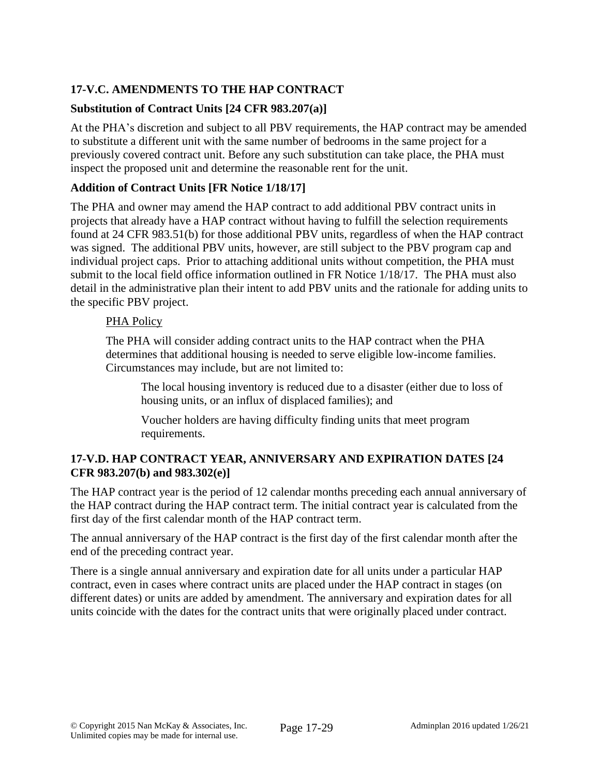# **17-V.C. AMENDMENTS TO THE HAP CONTRACT**

# **Substitution of Contract Units [24 CFR 983.207(a)]**

At the PHA's discretion and subject to all PBV requirements, the HAP contract may be amended to substitute a different unit with the same number of bedrooms in the same project for a previously covered contract unit. Before any such substitution can take place, the PHA must inspect the proposed unit and determine the reasonable rent for the unit.

# **Addition of Contract Units [FR Notice 1/18/17]**

The PHA and owner may amend the HAP contract to add additional PBV contract units in projects that already have a HAP contract without having to fulfill the selection requirements found at 24 CFR 983.51(b) for those additional PBV units, regardless of when the HAP contract was signed. The additional PBV units, however, are still subject to the PBV program cap and individual project caps. Prior to attaching additional units without competition, the PHA must submit to the local field office information outlined in FR Notice 1/18/17. The PHA must also detail in the administrative plan their intent to add PBV units and the rationale for adding units to the specific PBV project.

# PHA Policy

The PHA will consider adding contract units to the HAP contract when the PHA determines that additional housing is needed to serve eligible low-income families. Circumstances may include, but are not limited to:

The local housing inventory is reduced due to a disaster (either due to loss of housing units, or an influx of displaced families); and

Voucher holders are having difficulty finding units that meet program requirements.

## **17-V.D. HAP CONTRACT YEAR, ANNIVERSARY AND EXPIRATION DATES [24 CFR 983.207(b) and 983.302(e)]**

The HAP contract year is the period of 12 calendar months preceding each annual anniversary of the HAP contract during the HAP contract term. The initial contract year is calculated from the first day of the first calendar month of the HAP contract term.

The annual anniversary of the HAP contract is the first day of the first calendar month after the end of the preceding contract year.

There is a single annual anniversary and expiration date for all units under a particular HAP contract, even in cases where contract units are placed under the HAP contract in stages (on different dates) or units are added by amendment. The anniversary and expiration dates for all units coincide with the dates for the contract units that were originally placed under contract.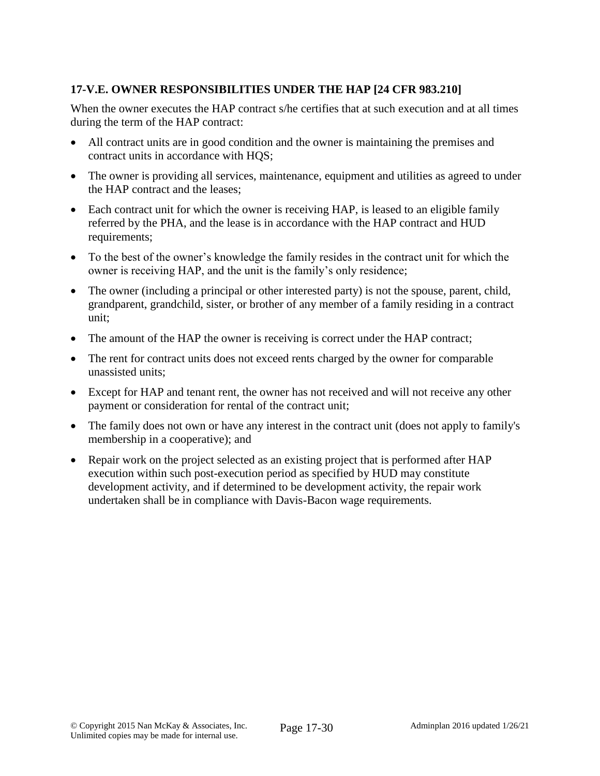# **17-V.E. OWNER RESPONSIBILITIES UNDER THE HAP [24 CFR 983.210]**

When the owner executes the HAP contract s/he certifies that at such execution and at all times during the term of the HAP contract:

- All contract units are in good condition and the owner is maintaining the premises and contract units in accordance with HQS;
- The owner is providing all services, maintenance, equipment and utilities as agreed to under the HAP contract and the leases;
- Each contract unit for which the owner is receiving HAP, is leased to an eligible family referred by the PHA, and the lease is in accordance with the HAP contract and HUD requirements;
- To the best of the owner's knowledge the family resides in the contract unit for which the owner is receiving HAP, and the unit is the family's only residence;
- The owner (including a principal or other interested party) is not the spouse, parent, child, grandparent, grandchild, sister, or brother of any member of a family residing in a contract unit;
- The amount of the HAP the owner is receiving is correct under the HAP contract;
- The rent for contract units does not exceed rents charged by the owner for comparable unassisted units;
- Except for HAP and tenant rent, the owner has not received and will not receive any other payment or consideration for rental of the contract unit;
- The family does not own or have any interest in the contract unit (does not apply to family's membership in a cooperative); and
- Repair work on the project selected as an existing project that is performed after HAP execution within such post-execution period as specified by HUD may constitute development activity, and if determined to be development activity, the repair work undertaken shall be in compliance with Davis-Bacon wage requirements.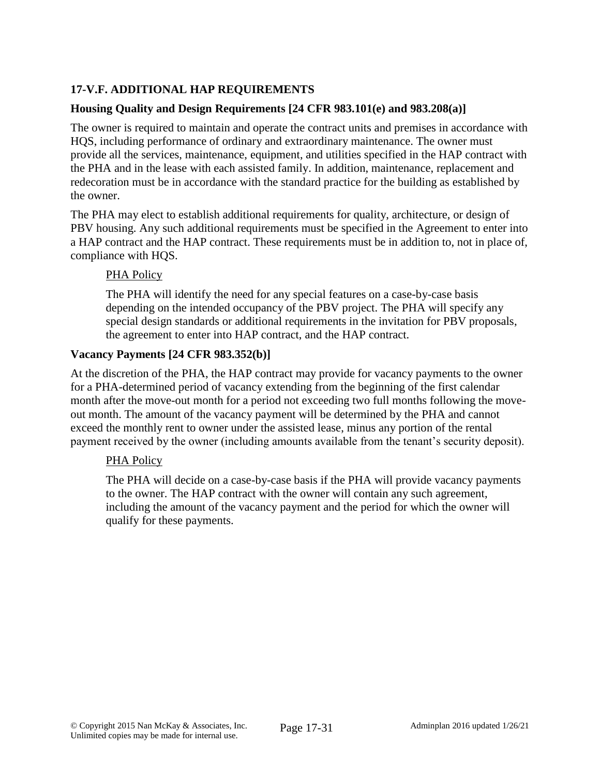# **17-V.F. ADDITIONAL HAP REQUIREMENTS**

## **Housing Quality and Design Requirements [24 CFR 983.101(e) and 983.208(a)]**

The owner is required to maintain and operate the contract units and premises in accordance with HQS, including performance of ordinary and extraordinary maintenance. The owner must provide all the services, maintenance, equipment, and utilities specified in the HAP contract with the PHA and in the lease with each assisted family. In addition, maintenance, replacement and redecoration must be in accordance with the standard practice for the building as established by the owner.

The PHA may elect to establish additional requirements for quality, architecture, or design of PBV housing. Any such additional requirements must be specified in the Agreement to enter into a HAP contract and the HAP contract. These requirements must be in addition to, not in place of, compliance with HQS.

## PHA Policy

The PHA will identify the need for any special features on a case-by-case basis depending on the intended occupancy of the PBV project. The PHA will specify any special design standards or additional requirements in the invitation for PBV proposals, the agreement to enter into HAP contract, and the HAP contract.

#### **Vacancy Payments [24 CFR 983.352(b)]**

At the discretion of the PHA, the HAP contract may provide for vacancy payments to the owner for a PHA-determined period of vacancy extending from the beginning of the first calendar month after the move-out month for a period not exceeding two full months following the moveout month. The amount of the vacancy payment will be determined by the PHA and cannot exceed the monthly rent to owner under the assisted lease, minus any portion of the rental payment received by the owner (including amounts available from the tenant's security deposit).

## PHA Policy

The PHA will decide on a case-by-case basis if the PHA will provide vacancy payments to the owner. The HAP contract with the owner will contain any such agreement, including the amount of the vacancy payment and the period for which the owner will qualify for these payments.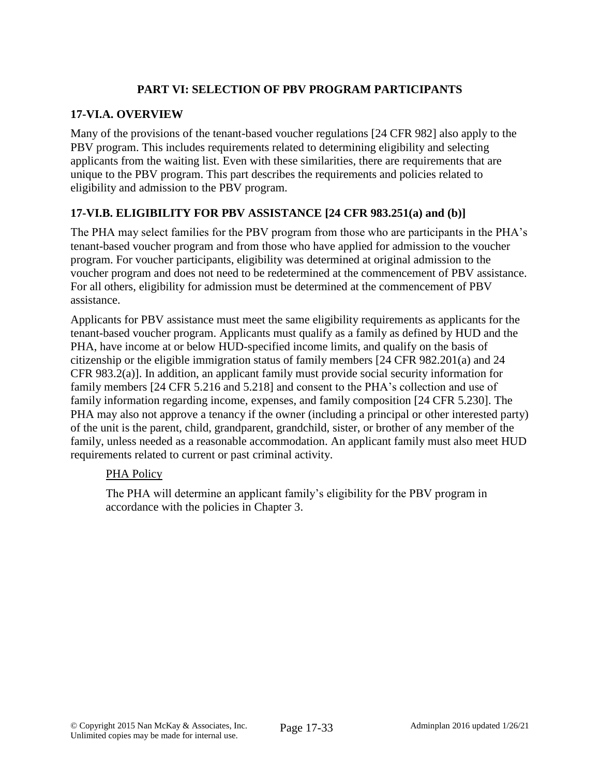# **PART VI: SELECTION OF PBV PROGRAM PARTICIPANTS**

## **17-VI.A. OVERVIEW**

Many of the provisions of the tenant-based voucher regulations [24 CFR 982] also apply to the PBV program. This includes requirements related to determining eligibility and selecting applicants from the waiting list. Even with these similarities, there are requirements that are unique to the PBV program. This part describes the requirements and policies related to eligibility and admission to the PBV program.

# **17-VI.B. ELIGIBILITY FOR PBV ASSISTANCE [24 CFR 983.251(a) and (b)]**

The PHA may select families for the PBV program from those who are participants in the PHA's tenant-based voucher program and from those who have applied for admission to the voucher program. For voucher participants, eligibility was determined at original admission to the voucher program and does not need to be redetermined at the commencement of PBV assistance. For all others, eligibility for admission must be determined at the commencement of PBV assistance.

Applicants for PBV assistance must meet the same eligibility requirements as applicants for the tenant-based voucher program. Applicants must qualify as a family as defined by HUD and the PHA, have income at or below HUD-specified income limits, and qualify on the basis of citizenship or the eligible immigration status of family members [24 CFR 982.201(a) and 24 CFR 983.2(a)]. In addition, an applicant family must provide social security information for family members [24 CFR 5.216 and 5.218] and consent to the PHA's collection and use of family information regarding income, expenses, and family composition [24 CFR 5.230]. The PHA may also not approve a tenancy if the owner (including a principal or other interested party) of the unit is the parent, child, grandparent, grandchild, sister, or brother of any member of the family, unless needed as a reasonable accommodation. An applicant family must also meet HUD requirements related to current or past criminal activity.

## PHA Policy

The PHA will determine an applicant family's eligibility for the PBV program in accordance with the policies in Chapter 3.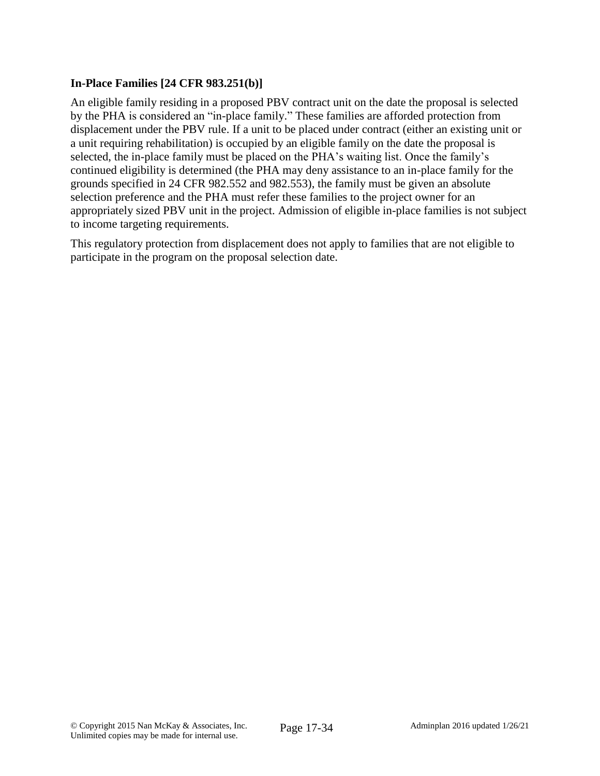## **In-Place Families [24 CFR 983.251(b)]**

An eligible family residing in a proposed PBV contract unit on the date the proposal is selected by the PHA is considered an "in-place family." These families are afforded protection from displacement under the PBV rule. If a unit to be placed under contract (either an existing unit or a unit requiring rehabilitation) is occupied by an eligible family on the date the proposal is selected, the in-place family must be placed on the PHA's waiting list. Once the family's continued eligibility is determined (the PHA may deny assistance to an in-place family for the grounds specified in 24 CFR 982.552 and 982.553), the family must be given an absolute selection preference and the PHA must refer these families to the project owner for an appropriately sized PBV unit in the project. Admission of eligible in-place families is not subject to income targeting requirements.

This regulatory protection from displacement does not apply to families that are not eligible to participate in the program on the proposal selection date.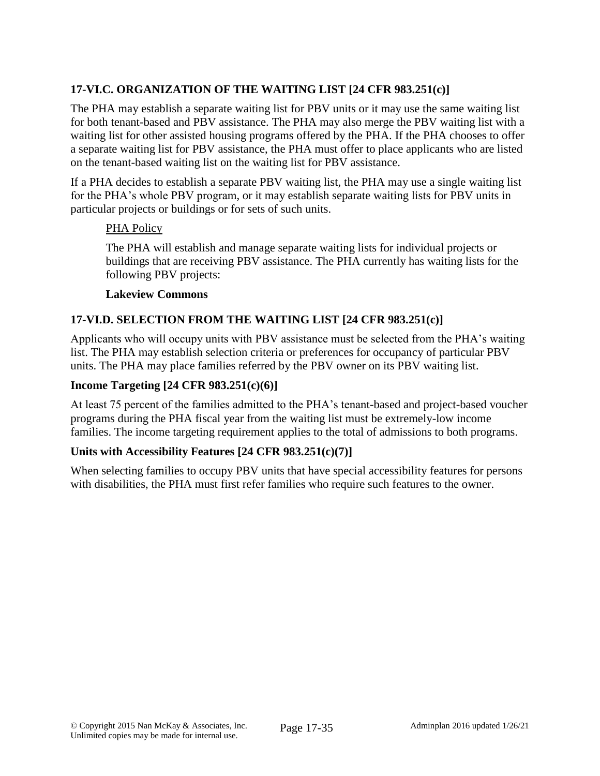# **17-VI.C. ORGANIZATION OF THE WAITING LIST [24 CFR 983.251(c)]**

The PHA may establish a separate waiting list for PBV units or it may use the same waiting list for both tenant-based and PBV assistance. The PHA may also merge the PBV waiting list with a waiting list for other assisted housing programs offered by the PHA. If the PHA chooses to offer a separate waiting list for PBV assistance, the PHA must offer to place applicants who are listed on the tenant-based waiting list on the waiting list for PBV assistance.

If a PHA decides to establish a separate PBV waiting list, the PHA may use a single waiting list for the PHA's whole PBV program, or it may establish separate waiting lists for PBV units in particular projects or buildings or for sets of such units.

#### PHA Policy

The PHA will establish and manage separate waiting lists for individual projects or buildings that are receiving PBV assistance. The PHA currently has waiting lists for the following PBV projects:

#### **Lakeview Commons**

## **17-VI.D. SELECTION FROM THE WAITING LIST [24 CFR 983.251(c)]**

Applicants who will occupy units with PBV assistance must be selected from the PHA's waiting list. The PHA may establish selection criteria or preferences for occupancy of particular PBV units. The PHA may place families referred by the PBV owner on its PBV waiting list.

#### **Income Targeting [24 CFR 983.251(c)(6)]**

At least 75 percent of the families admitted to the PHA's tenant-based and project-based voucher programs during the PHA fiscal year from the waiting list must be extremely-low income families. The income targeting requirement applies to the total of admissions to both programs.

## **Units with Accessibility Features [24 CFR 983.251(c)(7)]**

When selecting families to occupy PBV units that have special accessibility features for persons with disabilities, the PHA must first refer families who require such features to the owner.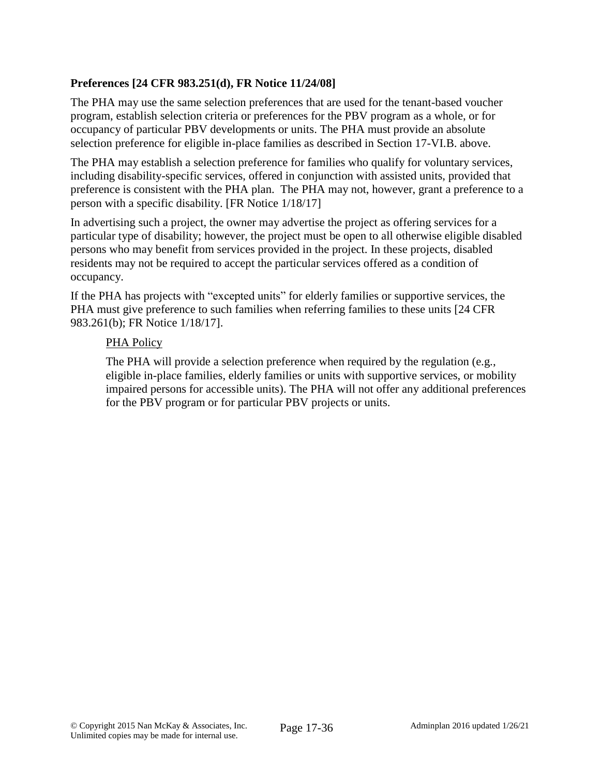# **Preferences [24 CFR 983.251(d), FR Notice 11/24/08]**

The PHA may use the same selection preferences that are used for the tenant-based voucher program, establish selection criteria or preferences for the PBV program as a whole, or for occupancy of particular PBV developments or units. The PHA must provide an absolute selection preference for eligible in-place families as described in Section 17-VI.B. above.

The PHA may establish a selection preference for families who qualify for voluntary services, including disability-specific services, offered in conjunction with assisted units, provided that preference is consistent with the PHA plan. The PHA may not, however, grant a preference to a person with a specific disability. [FR Notice 1/18/17]

In advertising such a project, the owner may advertise the project as offering services for a particular type of disability; however, the project must be open to all otherwise eligible disabled persons who may benefit from services provided in the project. In these projects, disabled residents may not be required to accept the particular services offered as a condition of occupancy.

If the PHA has projects with "excepted units" for elderly families or supportive services, the PHA must give preference to such families when referring families to these units [24 CFR 983.261(b); FR Notice 1/18/17].

#### PHA Policy

The PHA will provide a selection preference when required by the regulation (e.g., eligible in-place families, elderly families or units with supportive services, or mobility impaired persons for accessible units). The PHA will not offer any additional preferences for the PBV program or for particular PBV projects or units.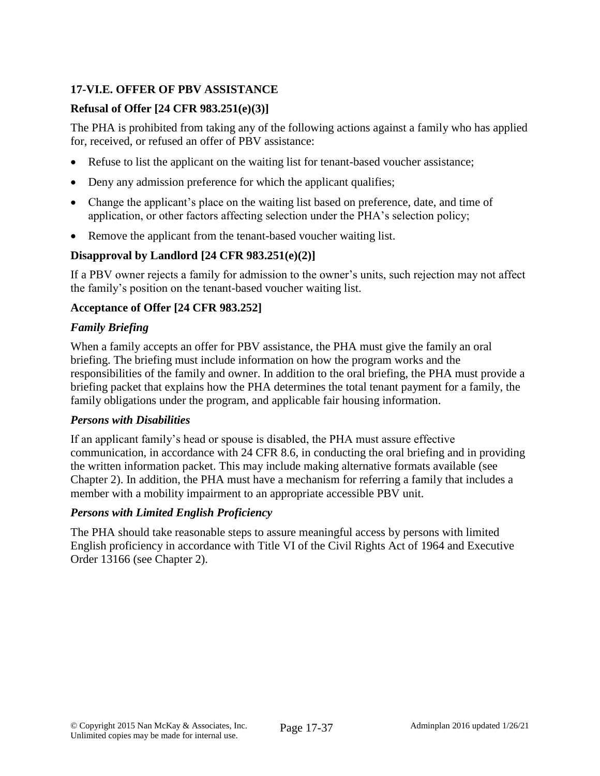# **17-VI.E. OFFER OF PBV ASSISTANCE**

## **Refusal of Offer [24 CFR 983.251(e)(3)]**

The PHA is prohibited from taking any of the following actions against a family who has applied for, received, or refused an offer of PBV assistance:

- Refuse to list the applicant on the waiting list for tenant-based voucher assistance;
- Deny any admission preference for which the applicant qualifies;
- Change the applicant's place on the waiting list based on preference, date, and time of application, or other factors affecting selection under the PHA's selection policy;
- Remove the applicant from the tenant-based voucher waiting list.

# **Disapproval by Landlord [24 CFR 983.251(e)(2)]**

If a PBV owner rejects a family for admission to the owner's units, such rejection may not affect the family's position on the tenant-based voucher waiting list.

## **Acceptance of Offer [24 CFR 983.252]**

## *Family Briefing*

When a family accepts an offer for PBV assistance, the PHA must give the family an oral briefing. The briefing must include information on how the program works and the responsibilities of the family and owner. In addition to the oral briefing, the PHA must provide a briefing packet that explains how the PHA determines the total tenant payment for a family, the family obligations under the program, and applicable fair housing information.

## *Persons with Disabilities*

If an applicant family's head or spouse is disabled, the PHA must assure effective communication, in accordance with 24 CFR 8.6, in conducting the oral briefing and in providing the written information packet. This may include making alternative formats available (see Chapter 2). In addition, the PHA must have a mechanism for referring a family that includes a member with a mobility impairment to an appropriate accessible PBV unit.

## *Persons with Limited English Proficiency*

The PHA should take reasonable steps to assure meaningful access by persons with limited English proficiency in accordance with Title VI of the Civil Rights Act of 1964 and Executive Order 13166 (see Chapter 2).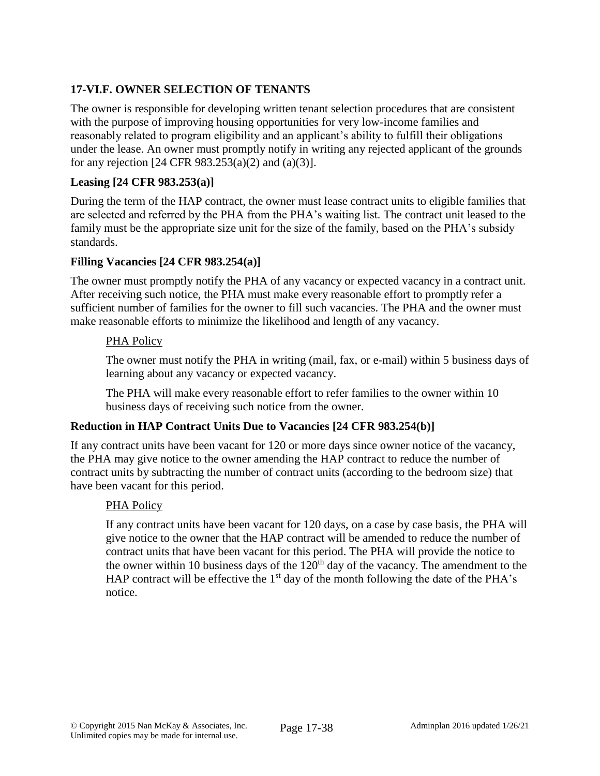# **17-VI.F. OWNER SELECTION OF TENANTS**

The owner is responsible for developing written tenant selection procedures that are consistent with the purpose of improving housing opportunities for very low-income families and reasonably related to program eligibility and an applicant's ability to fulfill their obligations under the lease. An owner must promptly notify in writing any rejected applicant of the grounds for any rejection [24 CFR 983.253(a)(2) and (a)(3)].

## **Leasing [24 CFR 983.253(a)]**

During the term of the HAP contract, the owner must lease contract units to eligible families that are selected and referred by the PHA from the PHA's waiting list. The contract unit leased to the family must be the appropriate size unit for the size of the family, based on the PHA's subsidy standards.

## **Filling Vacancies [24 CFR 983.254(a)]**

The owner must promptly notify the PHA of any vacancy or expected vacancy in a contract unit. After receiving such notice, the PHA must make every reasonable effort to promptly refer a sufficient number of families for the owner to fill such vacancies. The PHA and the owner must make reasonable efforts to minimize the likelihood and length of any vacancy.

## PHA Policy

The owner must notify the PHA in writing (mail, fax, or e-mail) within 5 business days of learning about any vacancy or expected vacancy.

The PHA will make every reasonable effort to refer families to the owner within 10 business days of receiving such notice from the owner.

# **Reduction in HAP Contract Units Due to Vacancies [24 CFR 983.254(b)]**

If any contract units have been vacant for 120 or more days since owner notice of the vacancy, the PHA may give notice to the owner amending the HAP contract to reduce the number of contract units by subtracting the number of contract units (according to the bedroom size) that have been vacant for this period.

## PHA Policy

If any contract units have been vacant for 120 days, on a case by case basis, the PHA will give notice to the owner that the HAP contract will be amended to reduce the number of contract units that have been vacant for this period. The PHA will provide the notice to the owner within 10 business days of the  $120<sup>th</sup>$  day of the vacancy. The amendment to the HAP contract will be effective the  $1<sup>st</sup>$  day of the month following the date of the PHA's notice.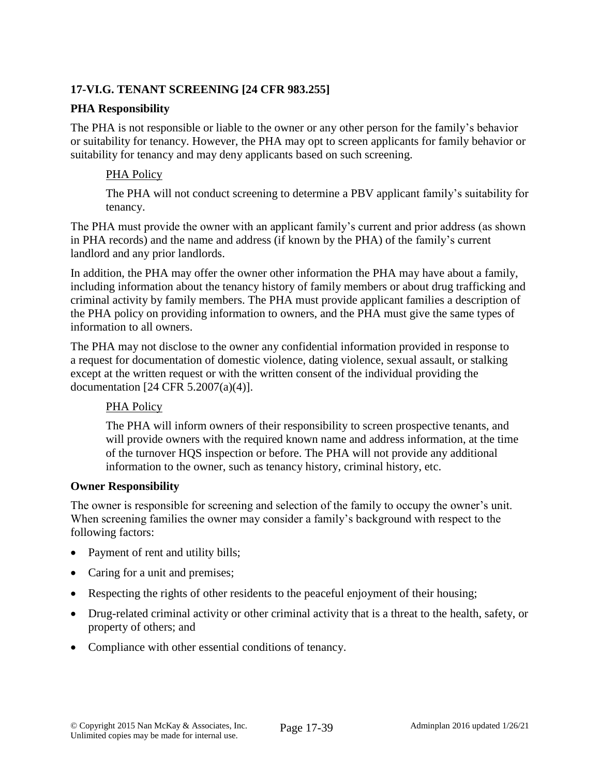# **17-VI.G. TENANT SCREENING [24 CFR 983.255]**

#### **PHA Responsibility**

The PHA is not responsible or liable to the owner or any other person for the family's behavior or suitability for tenancy. However, the PHA may opt to screen applicants for family behavior or suitability for tenancy and may deny applicants based on such screening.

#### PHA Policy

The PHA will not conduct screening to determine a PBV applicant family's suitability for tenancy.

The PHA must provide the owner with an applicant family's current and prior address (as shown in PHA records) and the name and address (if known by the PHA) of the family's current landlord and any prior landlords.

In addition, the PHA may offer the owner other information the PHA may have about a family, including information about the tenancy history of family members or about drug trafficking and criminal activity by family members. The PHA must provide applicant families a description of the PHA policy on providing information to owners, and the PHA must give the same types of information to all owners.

The PHA may not disclose to the owner any confidential information provided in response to a request for documentation of domestic violence, dating violence, sexual assault, or stalking except at the written request or with the written consent of the individual providing the documentation [24 CFR 5.2007(a)(4)].

## PHA Policy

The PHA will inform owners of their responsibility to screen prospective tenants, and will provide owners with the required known name and address information, at the time of the turnover HQS inspection or before. The PHA will not provide any additional information to the owner, such as tenancy history, criminal history, etc.

#### **Owner Responsibility**

The owner is responsible for screening and selection of the family to occupy the owner's unit. When screening families the owner may consider a family's background with respect to the following factors:

- Payment of rent and utility bills;
- Caring for a unit and premises;
- Respecting the rights of other residents to the peaceful enjoyment of their housing;
- Drug-related criminal activity or other criminal activity that is a threat to the health, safety, or property of others; and
- Compliance with other essential conditions of tenancy.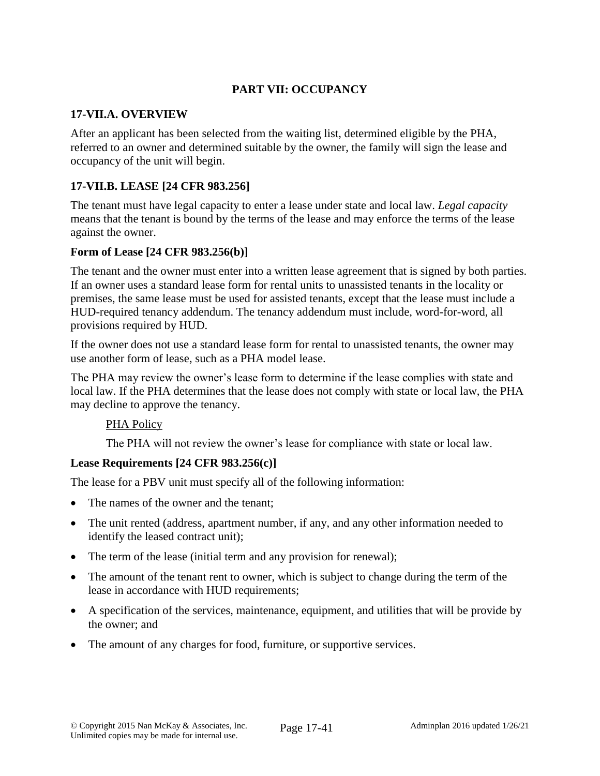# **PART VII: OCCUPANCY**

#### **17-VII.A. OVERVIEW**

After an applicant has been selected from the waiting list, determined eligible by the PHA, referred to an owner and determined suitable by the owner, the family will sign the lease and occupancy of the unit will begin.

## **17-VII.B. LEASE [24 CFR 983.256]**

The tenant must have legal capacity to enter a lease under state and local law. *Legal capacity* means that the tenant is bound by the terms of the lease and may enforce the terms of the lease against the owner.

#### **Form of Lease [24 CFR 983.256(b)]**

The tenant and the owner must enter into a written lease agreement that is signed by both parties. If an owner uses a standard lease form for rental units to unassisted tenants in the locality or premises, the same lease must be used for assisted tenants, except that the lease must include a HUD-required tenancy addendum. The tenancy addendum must include, word-for-word, all provisions required by HUD.

If the owner does not use a standard lease form for rental to unassisted tenants, the owner may use another form of lease, such as a PHA model lease.

The PHA may review the owner's lease form to determine if the lease complies with state and local law. If the PHA determines that the lease does not comply with state or local law, the PHA may decline to approve the tenancy.

#### PHA Policy

The PHA will not review the owner's lease for compliance with state or local law.

## **Lease Requirements [24 CFR 983.256(c)]**

The lease for a PBV unit must specify all of the following information:

- The names of the owner and the tenant;
- The unit rented (address, apartment number, if any, and any other information needed to identify the leased contract unit);
- The term of the lease (initial term and any provision for renewal);
- The amount of the tenant rent to owner, which is subject to change during the term of the lease in accordance with HUD requirements;
- A specification of the services, maintenance, equipment, and utilities that will be provide by the owner; and
- The amount of any charges for food, furniture, or supportive services.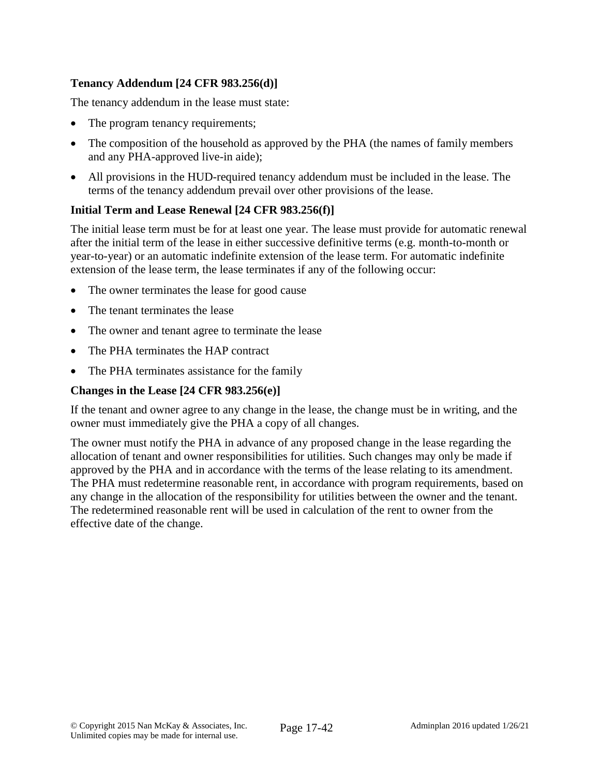# **Tenancy Addendum [24 CFR 983.256(d)]**

The tenancy addendum in the lease must state:

- The program tenancy requirements;
- The composition of the household as approved by the PHA (the names of family members and any PHA-approved live-in aide);
- All provisions in the HUD-required tenancy addendum must be included in the lease. The terms of the tenancy addendum prevail over other provisions of the lease.

## **Initial Term and Lease Renewal [24 CFR 983.256(f)]**

The initial lease term must be for at least one year. The lease must provide for automatic renewal after the initial term of the lease in either successive definitive terms (e.g. month-to-month or year-to-year) or an automatic indefinite extension of the lease term. For automatic indefinite extension of the lease term, the lease terminates if any of the following occur:

- The owner terminates the lease for good cause
- The tenant terminates the lease
- The owner and tenant agree to terminate the lease
- The PHA terminates the HAP contract
- The PHA terminates assistance for the family

#### **Changes in the Lease [24 CFR 983.256(e)]**

If the tenant and owner agree to any change in the lease, the change must be in writing, and the owner must immediately give the PHA a copy of all changes.

The owner must notify the PHA in advance of any proposed change in the lease regarding the allocation of tenant and owner responsibilities for utilities. Such changes may only be made if approved by the PHA and in accordance with the terms of the lease relating to its amendment. The PHA must redetermine reasonable rent, in accordance with program requirements, based on any change in the allocation of the responsibility for utilities between the owner and the tenant. The redetermined reasonable rent will be used in calculation of the rent to owner from the effective date of the change.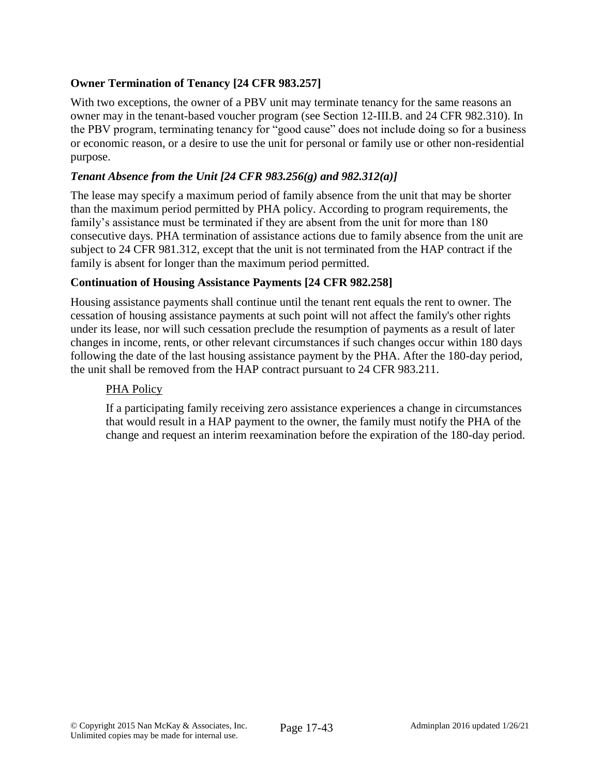# **Owner Termination of Tenancy [24 CFR 983.257]**

With two exceptions, the owner of a PBV unit may terminate tenancy for the same reasons an owner may in the tenant-based voucher program (see Section 12-III.B. and 24 CFR 982.310). In the PBV program, terminating tenancy for "good cause" does not include doing so for a business or economic reason, or a desire to use the unit for personal or family use or other non-residential purpose.

#### *Tenant Absence from the Unit [24 CFR 983.256(g) and 982.312(a)]*

The lease may specify a maximum period of family absence from the unit that may be shorter than the maximum period permitted by PHA policy. According to program requirements, the family's assistance must be terminated if they are absent from the unit for more than 180 consecutive days. PHA termination of assistance actions due to family absence from the unit are subject to 24 CFR 981.312, except that the unit is not terminated from the HAP contract if the family is absent for longer than the maximum period permitted.

## **Continuation of Housing Assistance Payments [24 CFR 982.258]**

Housing assistance payments shall continue until the tenant rent equals the rent to owner. The cessation of housing assistance payments at such point will not affect the family's other rights under its lease, nor will such cessation preclude the resumption of payments as a result of later changes in income, rents, or other relevant circumstances if such changes occur within 180 days following the date of the last housing assistance payment by the PHA. After the 180-day period, the unit shall be removed from the HAP contract pursuant to 24 CFR 983.211.

#### PHA Policy

If a participating family receiving zero assistance experiences a change in circumstances that would result in a HAP payment to the owner, the family must notify the PHA of the change and request an interim reexamination before the expiration of the 180-day period.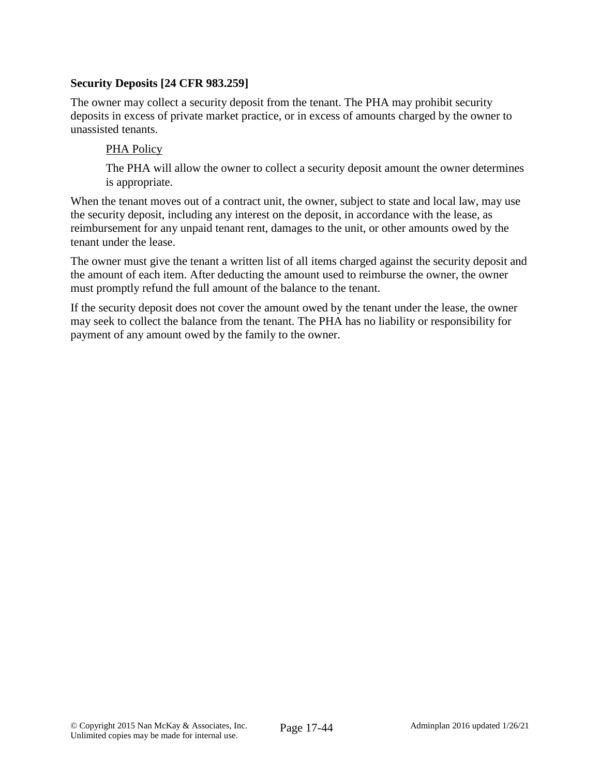#### **Security Deposits [24 CFR 983.259]**

The owner may collect a security deposit from the tenant. The PHA may prohibit security deposits in excess of private market practice, or in excess of amounts charged by the owner to unassisted tenants.

#### PHA Policy

The PHA will allow the owner to collect a security deposit amount the owner determines is appropriate.

When the tenant moves out of a contract unit, the owner, subject to state and local law, may use the security deposit, including any interest on the deposit, in accordance with the lease, as reimbursement for any unpaid tenant rent, damages to the unit, or other amounts owed by the tenant under the lease.

The owner must give the tenant a written list of all items charged against the security deposit and the amount of each item. After deducting the amount used to reimburse the owner, the owner must promptly refund the full amount of the balance to the tenant.

If the security deposit does not cover the amount owed by the tenant under the lease, the owner may seek to collect the balance from the tenant. The PHA has no liability or responsibility for payment of any amount owed by the family to the owner.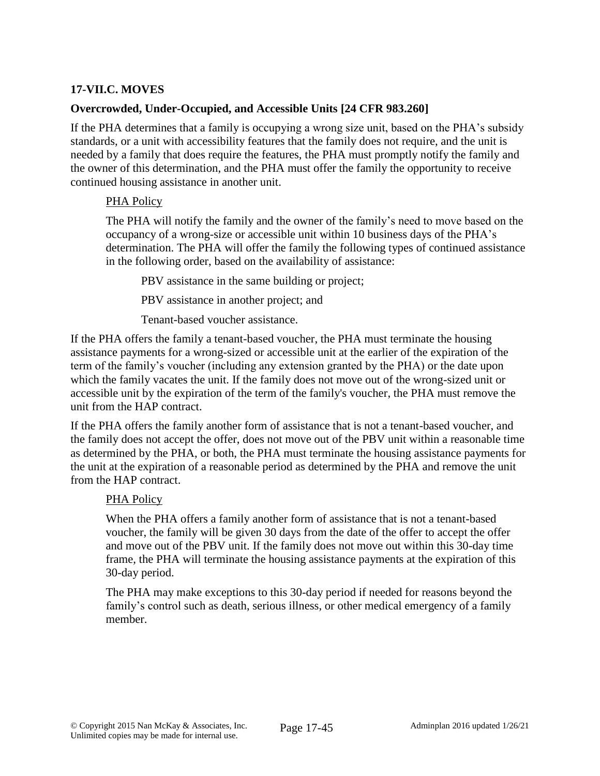## **17-VII.C. MOVES**

#### **Overcrowded, Under-Occupied, and Accessible Units [24 CFR 983.260]**

If the PHA determines that a family is occupying a wrong size unit, based on the PHA's subsidy standards, or a unit with accessibility features that the family does not require, and the unit is needed by a family that does require the features, the PHA must promptly notify the family and the owner of this determination, and the PHA must offer the family the opportunity to receive continued housing assistance in another unit.

#### PHA Policy

The PHA will notify the family and the owner of the family's need to move based on the occupancy of a wrong-size or accessible unit within 10 business days of the PHA's determination. The PHA will offer the family the following types of continued assistance in the following order, based on the availability of assistance:

PBV assistance in the same building or project;

PBV assistance in another project; and

Tenant-based voucher assistance.

If the PHA offers the family a tenant-based voucher, the PHA must terminate the housing assistance payments for a wrong-sized or accessible unit at the earlier of the expiration of the term of the family's voucher (including any extension granted by the PHA) or the date upon which the family vacates the unit. If the family does not move out of the wrong-sized unit or accessible unit by the expiration of the term of the family's voucher, the PHA must remove the unit from the HAP contract.

If the PHA offers the family another form of assistance that is not a tenant-based voucher, and the family does not accept the offer, does not move out of the PBV unit within a reasonable time as determined by the PHA, or both, the PHA must terminate the housing assistance payments for the unit at the expiration of a reasonable period as determined by the PHA and remove the unit from the HAP contract.

#### PHA Policy

When the PHA offers a family another form of assistance that is not a tenant-based voucher, the family will be given 30 days from the date of the offer to accept the offer and move out of the PBV unit. If the family does not move out within this 30-day time frame, the PHA will terminate the housing assistance payments at the expiration of this 30-day period.

The PHA may make exceptions to this 30-day period if needed for reasons beyond the family's control such as death, serious illness, or other medical emergency of a family member.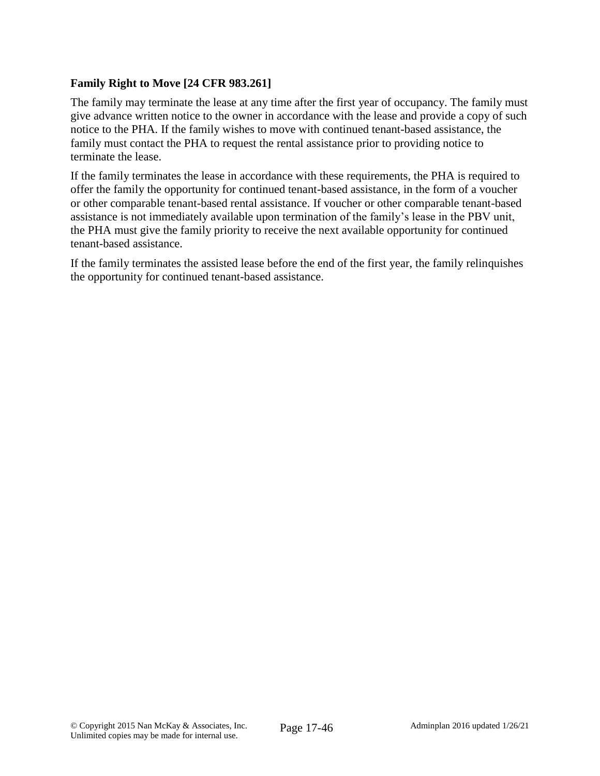## **Family Right to Move [24 CFR 983.261]**

The family may terminate the lease at any time after the first year of occupancy. The family must give advance written notice to the owner in accordance with the lease and provide a copy of such notice to the PHA. If the family wishes to move with continued tenant-based assistance, the family must contact the PHA to request the rental assistance prior to providing notice to terminate the lease.

If the family terminates the lease in accordance with these requirements, the PHA is required to offer the family the opportunity for continued tenant-based assistance, in the form of a voucher or other comparable tenant-based rental assistance. If voucher or other comparable tenant-based assistance is not immediately available upon termination of the family's lease in the PBV unit, the PHA must give the family priority to receive the next available opportunity for continued tenant-based assistance.

If the family terminates the assisted lease before the end of the first year, the family relinquishes the opportunity for continued tenant-based assistance.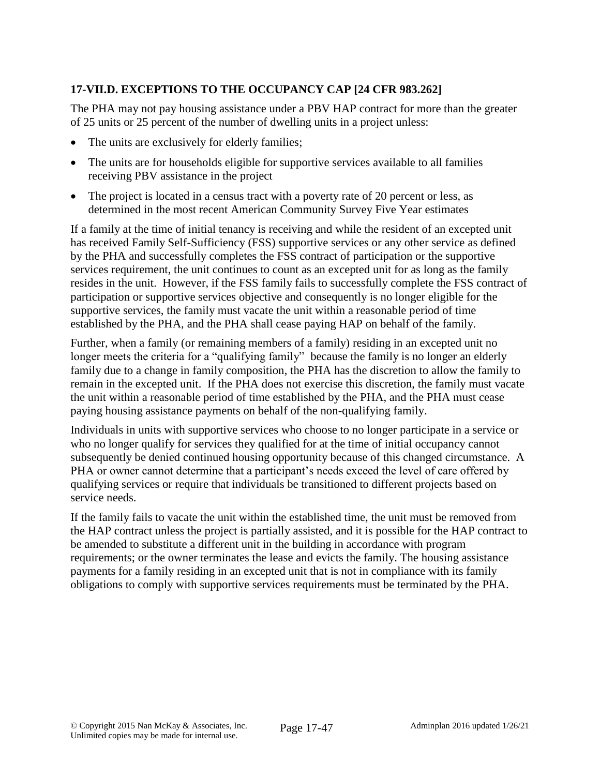# **17-VII.D. EXCEPTIONS TO THE OCCUPANCY CAP [24 CFR 983.262]**

The PHA may not pay housing assistance under a PBV HAP contract for more than the greater of 25 units or 25 percent of the number of dwelling units in a project unless:

- The units are exclusively for elderly families;
- The units are for households eligible for supportive services available to all families receiving PBV assistance in the project
- The project is located in a census tract with a poverty rate of 20 percent or less, as determined in the most recent American Community Survey Five Year estimates

If a family at the time of initial tenancy is receiving and while the resident of an excepted unit has received Family Self-Sufficiency (FSS) supportive services or any other service as defined by the PHA and successfully completes the FSS contract of participation or the supportive services requirement, the unit continues to count as an excepted unit for as long as the family resides in the unit. However, if the FSS family fails to successfully complete the FSS contract of participation or supportive services objective and consequently is no longer eligible for the supportive services, the family must vacate the unit within a reasonable period of time established by the PHA, and the PHA shall cease paying HAP on behalf of the family.

Further, when a family (or remaining members of a family) residing in an excepted unit no longer meets the criteria for a "qualifying family" because the family is no longer an elderly family due to a change in family composition, the PHA has the discretion to allow the family to remain in the excepted unit. If the PHA does not exercise this discretion, the family must vacate the unit within a reasonable period of time established by the PHA, and the PHA must cease paying housing assistance payments on behalf of the non-qualifying family.

Individuals in units with supportive services who choose to no longer participate in a service or who no longer qualify for services they qualified for at the time of initial occupancy cannot subsequently be denied continued housing opportunity because of this changed circumstance. A PHA or owner cannot determine that a participant's needs exceed the level of care offered by qualifying services or require that individuals be transitioned to different projects based on service needs.

If the family fails to vacate the unit within the established time, the unit must be removed from the HAP contract unless the project is partially assisted, and it is possible for the HAP contract to be amended to substitute a different unit in the building in accordance with program requirements; or the owner terminates the lease and evicts the family. The housing assistance payments for a family residing in an excepted unit that is not in compliance with its family obligations to comply with supportive services requirements must be terminated by the PHA.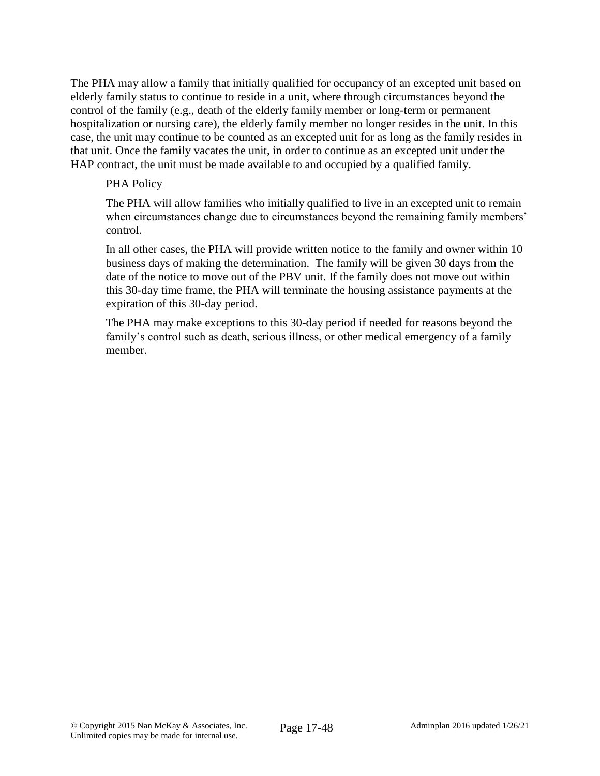The PHA may allow a family that initially qualified for occupancy of an excepted unit based on elderly family status to continue to reside in a unit, where through circumstances beyond the control of the family (e.g., death of the elderly family member or long-term or permanent hospitalization or nursing care), the elderly family member no longer resides in the unit. In this case, the unit may continue to be counted as an excepted unit for as long as the family resides in that unit. Once the family vacates the unit, in order to continue as an excepted unit under the HAP contract, the unit must be made available to and occupied by a qualified family.

#### PHA Policy

The PHA will allow families who initially qualified to live in an excepted unit to remain when circumstances change due to circumstances beyond the remaining family members' control.

In all other cases, the PHA will provide written notice to the family and owner within 10 business days of making the determination. The family will be given 30 days from the date of the notice to move out of the PBV unit. If the family does not move out within this 30-day time frame, the PHA will terminate the housing assistance payments at the expiration of this 30-day period.

The PHA may make exceptions to this 30-day period if needed for reasons beyond the family's control such as death, serious illness, or other medical emergency of a family member.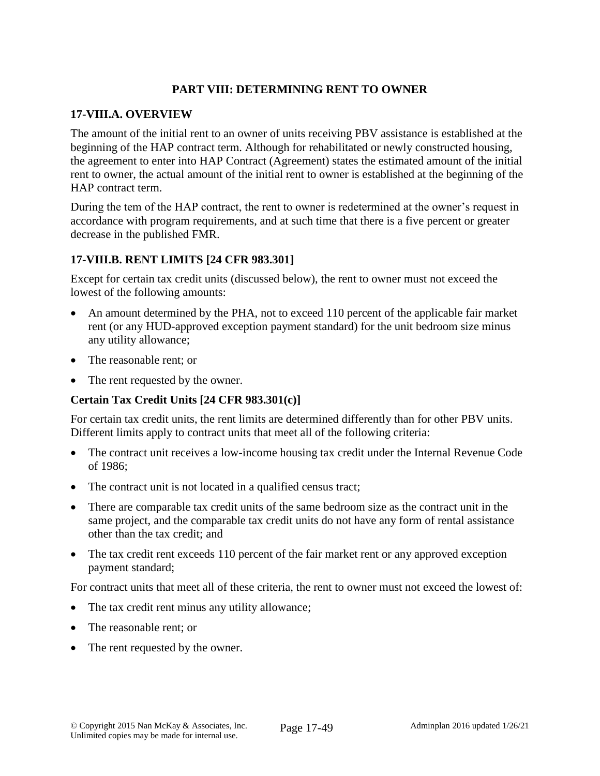# **PART VIII: DETERMINING RENT TO OWNER**

#### **17-VIII.A. OVERVIEW**

The amount of the initial rent to an owner of units receiving PBV assistance is established at the beginning of the HAP contract term. Although for rehabilitated or newly constructed housing, the agreement to enter into HAP Contract (Agreement) states the estimated amount of the initial rent to owner, the actual amount of the initial rent to owner is established at the beginning of the HAP contract term.

During the tem of the HAP contract, the rent to owner is redetermined at the owner's request in accordance with program requirements, and at such time that there is a five percent or greater decrease in the published FMR.

## **17-VIII.B. RENT LIMITS [24 CFR 983.301]**

Except for certain tax credit units (discussed below), the rent to owner must not exceed the lowest of the following amounts:

- An amount determined by the PHA, not to exceed 110 percent of the applicable fair market rent (or any HUD-approved exception payment standard) for the unit bedroom size minus any utility allowance;
- The reasonable rent; or
- The rent requested by the owner.

## **Certain Tax Credit Units [24 CFR 983.301(c)]**

For certain tax credit units, the rent limits are determined differently than for other PBV units. Different limits apply to contract units that meet all of the following criteria:

- The contract unit receives a low-income housing tax credit under the Internal Revenue Code of 1986;
- The contract unit is not located in a qualified census tract;
- There are comparable tax credit units of the same bedroom size as the contract unit in the same project, and the comparable tax credit units do not have any form of rental assistance other than the tax credit; and
- The tax credit rent exceeds 110 percent of the fair market rent or any approved exception payment standard;

For contract units that meet all of these criteria, the rent to owner must not exceed the lowest of:

- The tax credit rent minus any utility allowance;
- The reasonable rent: or
- The rent requested by the owner.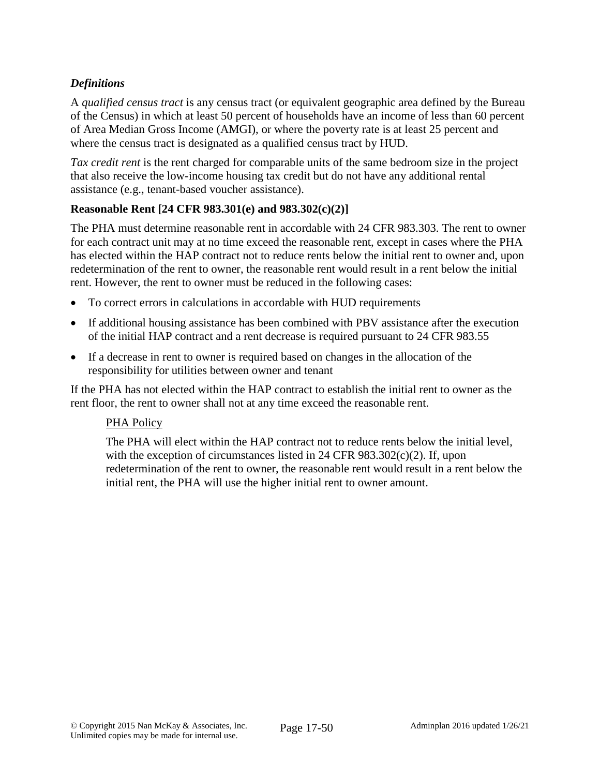# *Definitions*

A *qualified census tract* is any census tract (or equivalent geographic area defined by the Bureau of the Census) in which at least 50 percent of households have an income of less than 60 percent of Area Median Gross Income (AMGI), or where the poverty rate is at least 25 percent and where the census tract is designated as a qualified census tract by HUD.

*Tax credit rent* is the rent charged for comparable units of the same bedroom size in the project that also receive the low-income housing tax credit but do not have any additional rental assistance (e.g., tenant-based voucher assistance).

## **Reasonable Rent [24 CFR 983.301(e) and 983.302(c)(2)]**

The PHA must determine reasonable rent in accordable with 24 CFR 983.303. The rent to owner for each contract unit may at no time exceed the reasonable rent, except in cases where the PHA has elected within the HAP contract not to reduce rents below the initial rent to owner and, upon redetermination of the rent to owner, the reasonable rent would result in a rent below the initial rent. However, the rent to owner must be reduced in the following cases:

- To correct errors in calculations in accordable with HUD requirements
- If additional housing assistance has been combined with PBV assistance after the execution of the initial HAP contract and a rent decrease is required pursuant to 24 CFR 983.55
- If a decrease in rent to owner is required based on changes in the allocation of the responsibility for utilities between owner and tenant

If the PHA has not elected within the HAP contract to establish the initial rent to owner as the rent floor, the rent to owner shall not at any time exceed the reasonable rent.

## PHA Policy

The PHA will elect within the HAP contract not to reduce rents below the initial level, with the exception of circumstances listed in 24 CFR 983.302(c)(2). If, upon redetermination of the rent to owner, the reasonable rent would result in a rent below the initial rent, the PHA will use the higher initial rent to owner amount.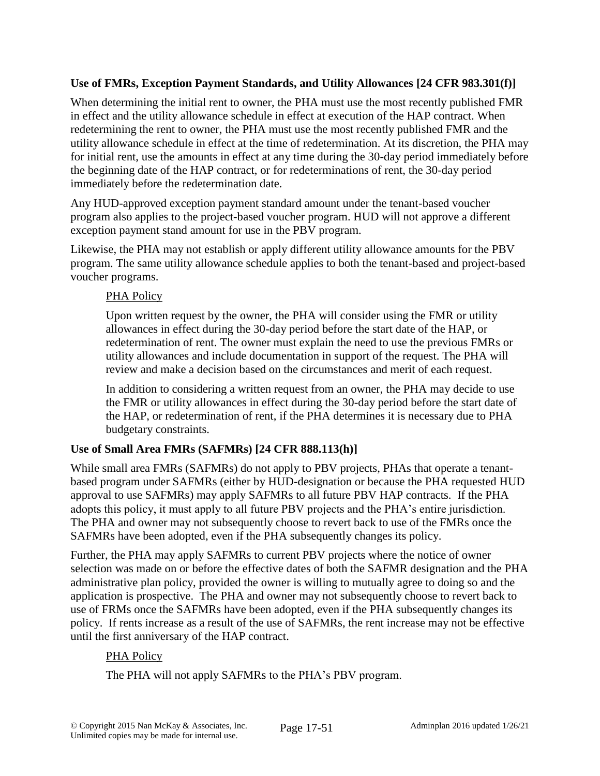# **Use of FMRs, Exception Payment Standards, and Utility Allowances [24 CFR 983.301(f)]**

When determining the initial rent to owner, the PHA must use the most recently published FMR in effect and the utility allowance schedule in effect at execution of the HAP contract. When redetermining the rent to owner, the PHA must use the most recently published FMR and the utility allowance schedule in effect at the time of redetermination. At its discretion, the PHA may for initial rent, use the amounts in effect at any time during the 30-day period immediately before the beginning date of the HAP contract, or for redeterminations of rent, the 30-day period immediately before the redetermination date.

Any HUD-approved exception payment standard amount under the tenant-based voucher program also applies to the project-based voucher program. HUD will not approve a different exception payment stand amount for use in the PBV program.

Likewise, the PHA may not establish or apply different utility allowance amounts for the PBV program. The same utility allowance schedule applies to both the tenant-based and project-based voucher programs.

## PHA Policy

Upon written request by the owner, the PHA will consider using the FMR or utility allowances in effect during the 30-day period before the start date of the HAP, or redetermination of rent. The owner must explain the need to use the previous FMRs or utility allowances and include documentation in support of the request. The PHA will review and make a decision based on the circumstances and merit of each request.

In addition to considering a written request from an owner, the PHA may decide to use the FMR or utility allowances in effect during the 30-day period before the start date of the HAP, or redetermination of rent, if the PHA determines it is necessary due to PHA budgetary constraints.

# **Use of Small Area FMRs (SAFMRs) [24 CFR 888.113(h)]**

While small area FMRs (SAFMRs) do not apply to PBV projects, PHAs that operate a tenantbased program under SAFMRs (either by HUD-designation or because the PHA requested HUD approval to use SAFMRs) may apply SAFMRs to all future PBV HAP contracts. If the PHA adopts this policy, it must apply to all future PBV projects and the PHA's entire jurisdiction. The PHA and owner may not subsequently choose to revert back to use of the FMRs once the SAFMRs have been adopted, even if the PHA subsequently changes its policy.

Further, the PHA may apply SAFMRs to current PBV projects where the notice of owner selection was made on or before the effective dates of both the SAFMR designation and the PHA administrative plan policy, provided the owner is willing to mutually agree to doing so and the application is prospective. The PHA and owner may not subsequently choose to revert back to use of FRMs once the SAFMRs have been adopted, even if the PHA subsequently changes its policy. If rents increase as a result of the use of SAFMRs, the rent increase may not be effective until the first anniversary of the HAP contract.

# PHA Policy

The PHA will not apply SAFMRs to the PHA's PBV program.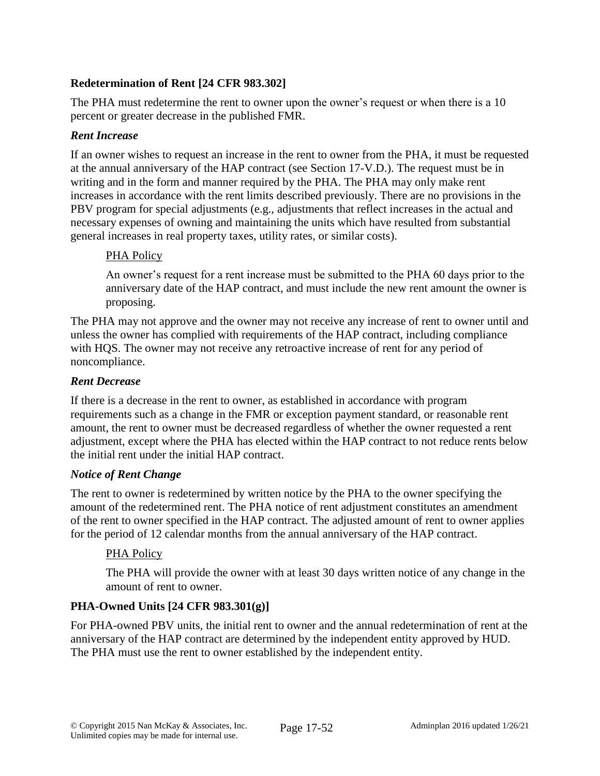# **Redetermination of Rent [24 CFR 983.302]**

The PHA must redetermine the rent to owner upon the owner's request or when there is a 10 percent or greater decrease in the published FMR.

#### *Rent Increase*

If an owner wishes to request an increase in the rent to owner from the PHA, it must be requested at the annual anniversary of the HAP contract (see Section 17-V.D.). The request must be in writing and in the form and manner required by the PHA. The PHA may only make rent increases in accordance with the rent limits described previously. There are no provisions in the PBV program for special adjustments (e.g., adjustments that reflect increases in the actual and necessary expenses of owning and maintaining the units which have resulted from substantial general increases in real property taxes, utility rates, or similar costs).

#### PHA Policy

An owner's request for a rent increase must be submitted to the PHA 60 days prior to the anniversary date of the HAP contract, and must include the new rent amount the owner is proposing.

The PHA may not approve and the owner may not receive any increase of rent to owner until and unless the owner has complied with requirements of the HAP contract, including compliance with HQS. The owner may not receive any retroactive increase of rent for any period of noncompliance.

#### *Rent Decrease*

If there is a decrease in the rent to owner, as established in accordance with program requirements such as a change in the FMR or exception payment standard, or reasonable rent amount, the rent to owner must be decreased regardless of whether the owner requested a rent adjustment, except where the PHA has elected within the HAP contract to not reduce rents below the initial rent under the initial HAP contract.

## *Notice of Rent Change*

The rent to owner is redetermined by written notice by the PHA to the owner specifying the amount of the redetermined rent. The PHA notice of rent adjustment constitutes an amendment of the rent to owner specified in the HAP contract. The adjusted amount of rent to owner applies for the period of 12 calendar months from the annual anniversary of the HAP contract.

## PHA Policy

The PHA will provide the owner with at least 30 days written notice of any change in the amount of rent to owner.

## **PHA-Owned Units [24 CFR 983.301(g)]**

For PHA-owned PBV units, the initial rent to owner and the annual redetermination of rent at the anniversary of the HAP contract are determined by the independent entity approved by HUD. The PHA must use the rent to owner established by the independent entity.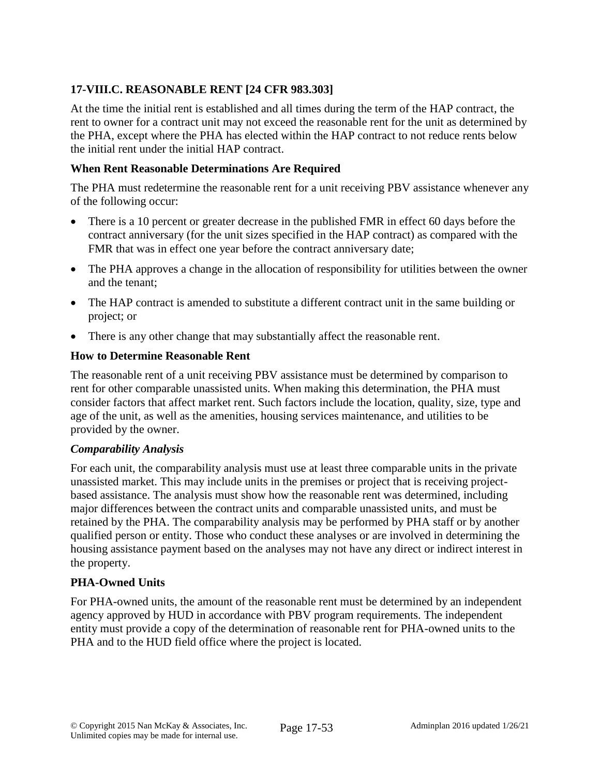# **17-VIII.C. REASONABLE RENT [24 CFR 983.303]**

At the time the initial rent is established and all times during the term of the HAP contract, the rent to owner for a contract unit may not exceed the reasonable rent for the unit as determined by the PHA, except where the PHA has elected within the HAP contract to not reduce rents below the initial rent under the initial HAP contract.

#### **When Rent Reasonable Determinations Are Required**

The PHA must redetermine the reasonable rent for a unit receiving PBV assistance whenever any of the following occur:

- There is a 10 percent or greater decrease in the published FMR in effect 60 days before the contract anniversary (for the unit sizes specified in the HAP contract) as compared with the FMR that was in effect one year before the contract anniversary date;
- The PHA approves a change in the allocation of responsibility for utilities between the owner and the tenant;
- The HAP contract is amended to substitute a different contract unit in the same building or project; or
- There is any other change that may substantially affect the reasonable rent.

#### **How to Determine Reasonable Rent**

The reasonable rent of a unit receiving PBV assistance must be determined by comparison to rent for other comparable unassisted units. When making this determination, the PHA must consider factors that affect market rent. Such factors include the location, quality, size, type and age of the unit, as well as the amenities, housing services maintenance, and utilities to be provided by the owner.

#### *Comparability Analysis*

For each unit, the comparability analysis must use at least three comparable units in the private unassisted market. This may include units in the premises or project that is receiving projectbased assistance. The analysis must show how the reasonable rent was determined, including major differences between the contract units and comparable unassisted units, and must be retained by the PHA. The comparability analysis may be performed by PHA staff or by another qualified person or entity. Those who conduct these analyses or are involved in determining the housing assistance payment based on the analyses may not have any direct or indirect interest in the property.

## **PHA-Owned Units**

For PHA-owned units, the amount of the reasonable rent must be determined by an independent agency approved by HUD in accordance with PBV program requirements. The independent entity must provide a copy of the determination of reasonable rent for PHA-owned units to the PHA and to the HUD field office where the project is located.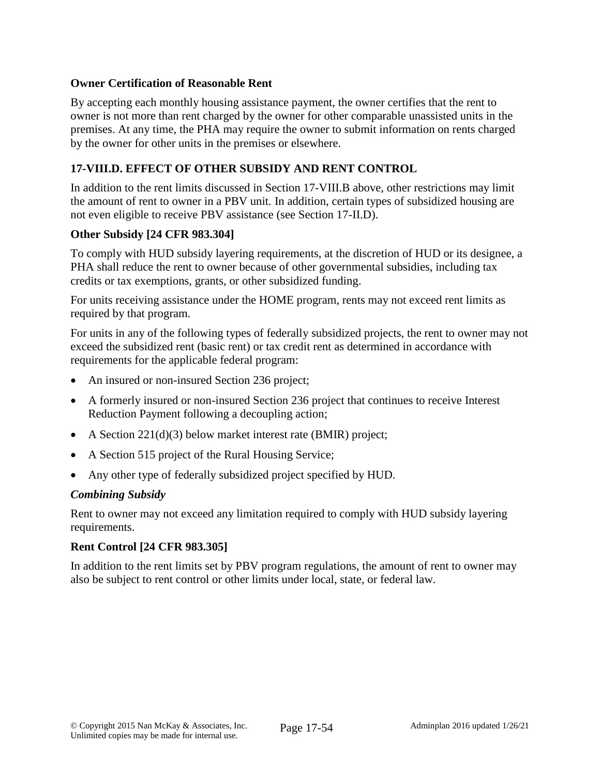#### **Owner Certification of Reasonable Rent**

By accepting each monthly housing assistance payment, the owner certifies that the rent to owner is not more than rent charged by the owner for other comparable unassisted units in the premises. At any time, the PHA may require the owner to submit information on rents charged by the owner for other units in the premises or elsewhere.

## **17-VIII.D. EFFECT OF OTHER SUBSIDY AND RENT CONTROL**

In addition to the rent limits discussed in Section 17-VIII.B above, other restrictions may limit the amount of rent to owner in a PBV unit. In addition, certain types of subsidized housing are not even eligible to receive PBV assistance (see Section 17-II.D).

#### **Other Subsidy [24 CFR 983.304]**

To comply with HUD subsidy layering requirements, at the discretion of HUD or its designee, a PHA shall reduce the rent to owner because of other governmental subsidies, including tax credits or tax exemptions, grants, or other subsidized funding.

For units receiving assistance under the HOME program, rents may not exceed rent limits as required by that program.

For units in any of the following types of federally subsidized projects, the rent to owner may not exceed the subsidized rent (basic rent) or tax credit rent as determined in accordance with requirements for the applicable federal program:

- An insured or non-insured Section 236 project;
- A formerly insured or non-insured Section 236 project that continues to receive Interest Reduction Payment following a decoupling action;
- A Section 221(d)(3) below market interest rate (BMIR) project;
- A Section 515 project of the Rural Housing Service;
- Any other type of federally subsidized project specified by HUD.

#### *Combining Subsidy*

Rent to owner may not exceed any limitation required to comply with HUD subsidy layering requirements.

## **Rent Control [24 CFR 983.305]**

In addition to the rent limits set by PBV program regulations, the amount of rent to owner may also be subject to rent control or other limits under local, state, or federal law.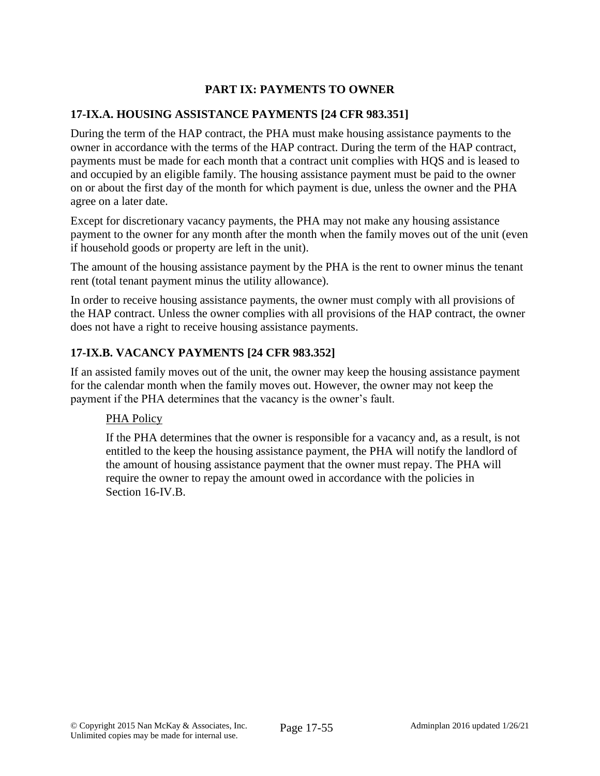# **PART IX: PAYMENTS TO OWNER**

## **17-IX.A. HOUSING ASSISTANCE PAYMENTS [24 CFR 983.351]**

During the term of the HAP contract, the PHA must make housing assistance payments to the owner in accordance with the terms of the HAP contract. During the term of the HAP contract, payments must be made for each month that a contract unit complies with HQS and is leased to and occupied by an eligible family. The housing assistance payment must be paid to the owner on or about the first day of the month for which payment is due, unless the owner and the PHA agree on a later date.

Except for discretionary vacancy payments, the PHA may not make any housing assistance payment to the owner for any month after the month when the family moves out of the unit (even if household goods or property are left in the unit).

The amount of the housing assistance payment by the PHA is the rent to owner minus the tenant rent (total tenant payment minus the utility allowance).

In order to receive housing assistance payments, the owner must comply with all provisions of the HAP contract. Unless the owner complies with all provisions of the HAP contract, the owner does not have a right to receive housing assistance payments.

# **17-IX.B. VACANCY PAYMENTS [24 CFR 983.352]**

If an assisted family moves out of the unit, the owner may keep the housing assistance payment for the calendar month when the family moves out. However, the owner may not keep the payment if the PHA determines that the vacancy is the owner's fault.

## PHA Policy

If the PHA determines that the owner is responsible for a vacancy and, as a result, is not entitled to the keep the housing assistance payment, the PHA will notify the landlord of the amount of housing assistance payment that the owner must repay. The PHA will require the owner to repay the amount owed in accordance with the policies in Section 16-IV.B.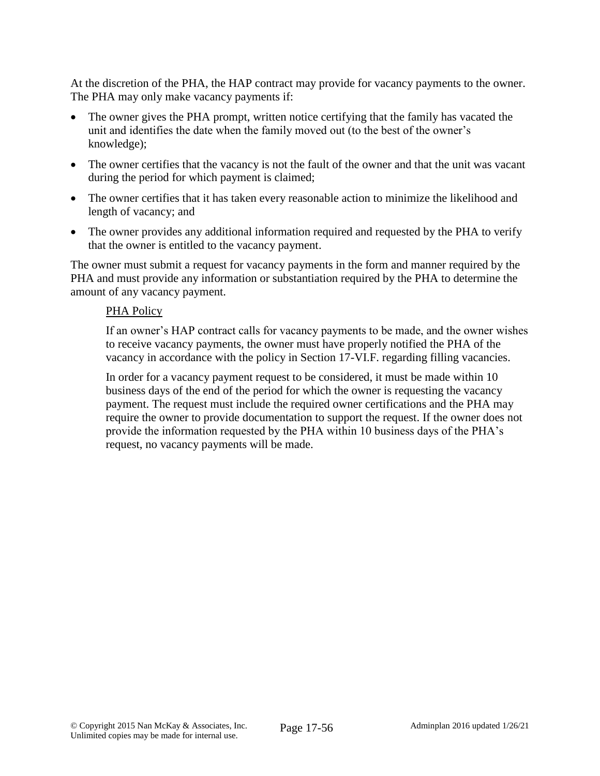At the discretion of the PHA, the HAP contract may provide for vacancy payments to the owner. The PHA may only make vacancy payments if:

- The owner gives the PHA prompt, written notice certifying that the family has vacated the unit and identifies the date when the family moved out (to the best of the owner's knowledge);
- The owner certifies that the vacancy is not the fault of the owner and that the unit was vacant during the period for which payment is claimed;
- The owner certifies that it has taken every reasonable action to minimize the likelihood and length of vacancy; and
- The owner provides any additional information required and requested by the PHA to verify that the owner is entitled to the vacancy payment.

The owner must submit a request for vacancy payments in the form and manner required by the PHA and must provide any information or substantiation required by the PHA to determine the amount of any vacancy payment.

#### PHA Policy

If an owner's HAP contract calls for vacancy payments to be made, and the owner wishes to receive vacancy payments, the owner must have properly notified the PHA of the vacancy in accordance with the policy in Section 17-VI.F. regarding filling vacancies.

In order for a vacancy payment request to be considered, it must be made within 10 business days of the end of the period for which the owner is requesting the vacancy payment. The request must include the required owner certifications and the PHA may require the owner to provide documentation to support the request. If the owner does not provide the information requested by the PHA within 10 business days of the PHA's request, no vacancy payments will be made.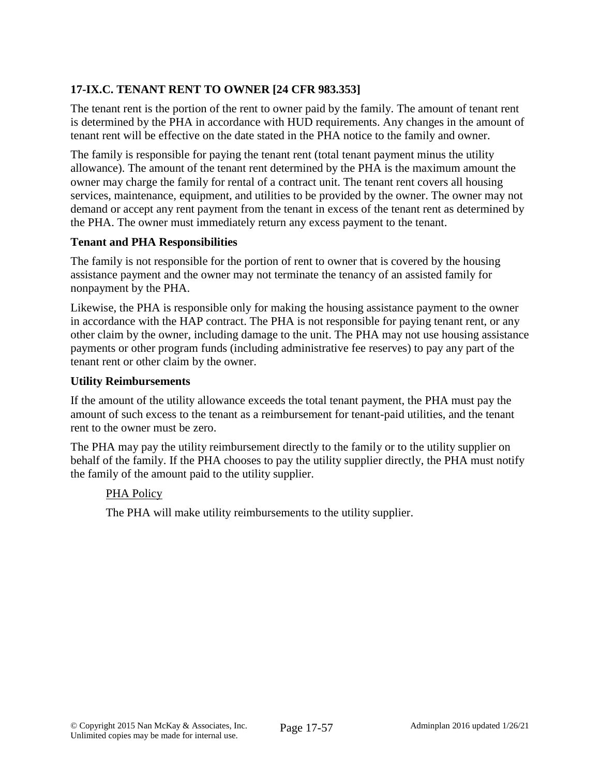# **17-IX.C. TENANT RENT TO OWNER [24 CFR 983.353]**

The tenant rent is the portion of the rent to owner paid by the family. The amount of tenant rent is determined by the PHA in accordance with HUD requirements. Any changes in the amount of tenant rent will be effective on the date stated in the PHA notice to the family and owner.

The family is responsible for paying the tenant rent (total tenant payment minus the utility allowance). The amount of the tenant rent determined by the PHA is the maximum amount the owner may charge the family for rental of a contract unit. The tenant rent covers all housing services, maintenance, equipment, and utilities to be provided by the owner. The owner may not demand or accept any rent payment from the tenant in excess of the tenant rent as determined by the PHA. The owner must immediately return any excess payment to the tenant.

#### **Tenant and PHA Responsibilities**

The family is not responsible for the portion of rent to owner that is covered by the housing assistance payment and the owner may not terminate the tenancy of an assisted family for nonpayment by the PHA.

Likewise, the PHA is responsible only for making the housing assistance payment to the owner in accordance with the HAP contract. The PHA is not responsible for paying tenant rent, or any other claim by the owner, including damage to the unit. The PHA may not use housing assistance payments or other program funds (including administrative fee reserves) to pay any part of the tenant rent or other claim by the owner.

#### **Utility Reimbursements**

If the amount of the utility allowance exceeds the total tenant payment, the PHA must pay the amount of such excess to the tenant as a reimbursement for tenant-paid utilities, and the tenant rent to the owner must be zero.

The PHA may pay the utility reimbursement directly to the family or to the utility supplier on behalf of the family. If the PHA chooses to pay the utility supplier directly, the PHA must notify the family of the amount paid to the utility supplier.

## PHA Policy

The PHA will make utility reimbursements to the utility supplier.